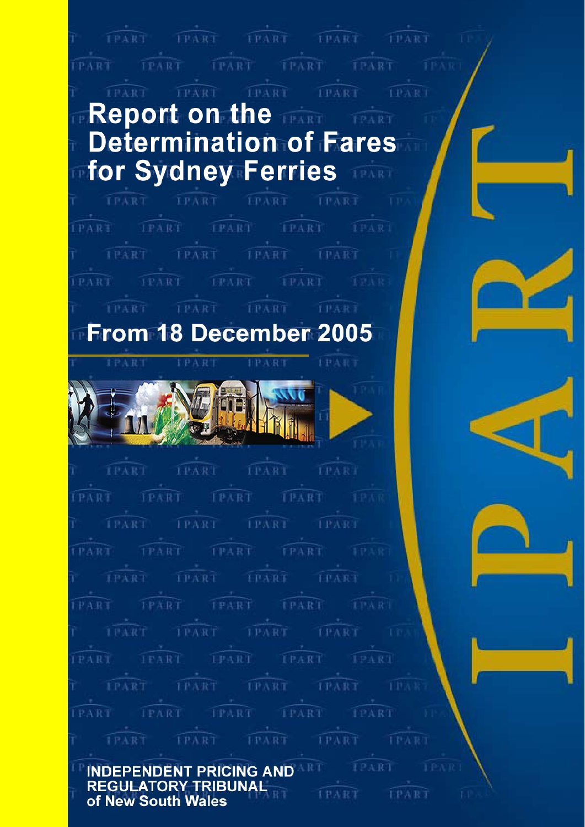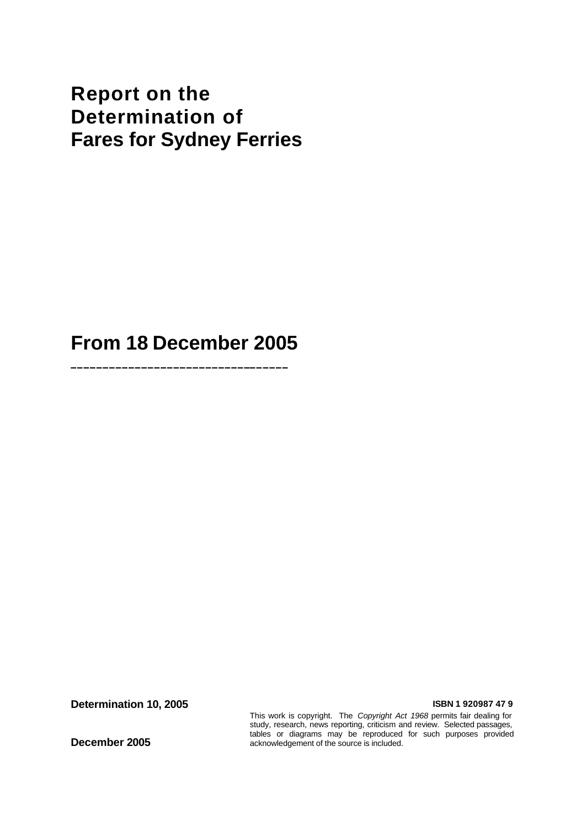# **Report on the Determination of Fares for Sydney Ferries**

**From 18 December 2005**

**\_\_\_\_\_\_\_\_\_\_\_\_\_\_\_\_\_\_\_\_\_\_\_\_\_\_\_\_\_\_\_\_\_\_**

**Determination 10, 2005 ISBN 1 920987 47 9** 

**December 2005**

This work is copyright. The *Copyright Act 1968* permits fair dealing for study, research, news reporting, criticism and review. Selected passages, tables or diagrams may be reproduced for such purposes provided acknowledgement of the source is included.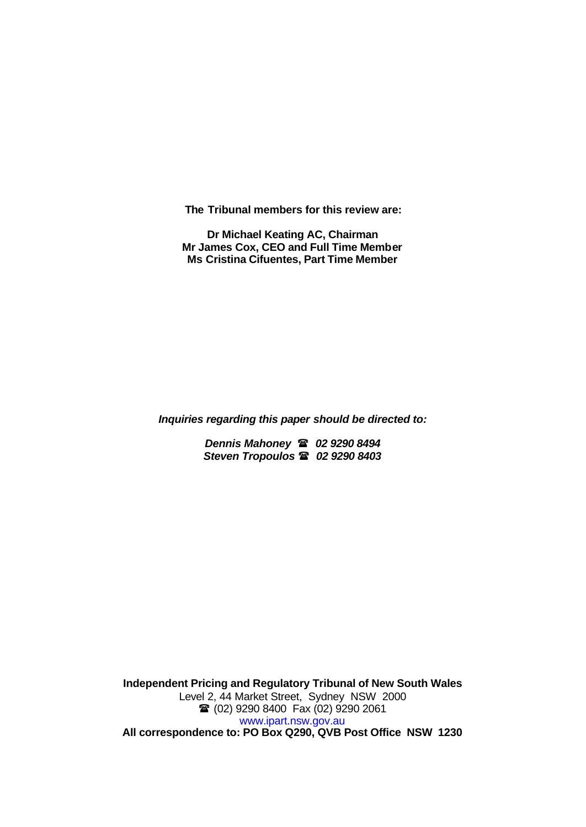**The Tribunal members for this review are:**

**Dr Michael Keating AC, Chairman Mr James Cox, CEO and Full Time Member Ms Cristina Cifuentes, Part Time Member**

*Inquiries regarding this paper should be directed to:*

*Dennis Mahoney* ( *02 9290 8494 Steven Tropoulos* ( *02 9290 8403*

**Independent Pricing and Regulatory Tribunal of New South Wales** Level 2, 44 Market Street, Sydney NSW 2000 <sup>2</sup> (02) 9290 8400 Fax (02) 9290 2061 www.ipart.nsw.gov.au **All correspondence to: PO Box Q290, QVB Post Office NSW 1230**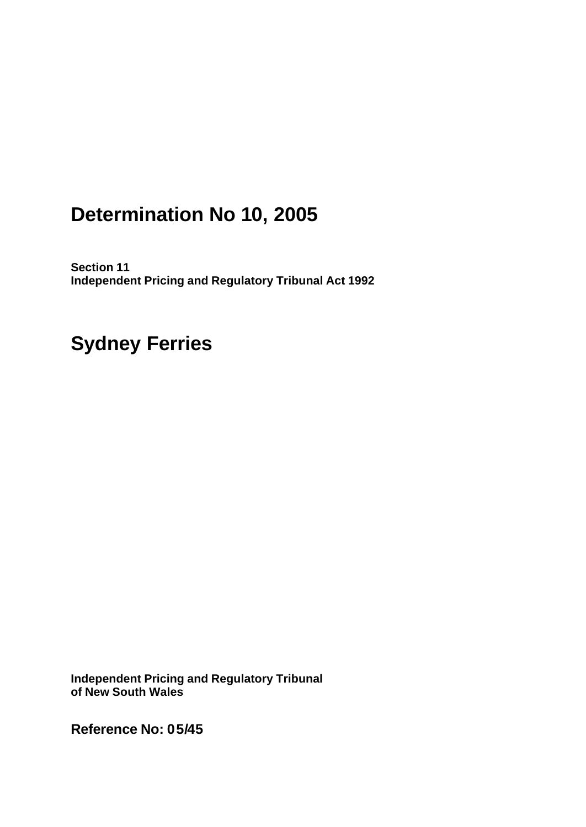# **Determination No 10, 2005**

**Section 11 Independent Pricing and Regulatory Tribunal Act 1992**

# **Sydney Ferries**

**Independent Pricing and Regulatory Tribunal of New South Wales**

**Reference No: 05/45**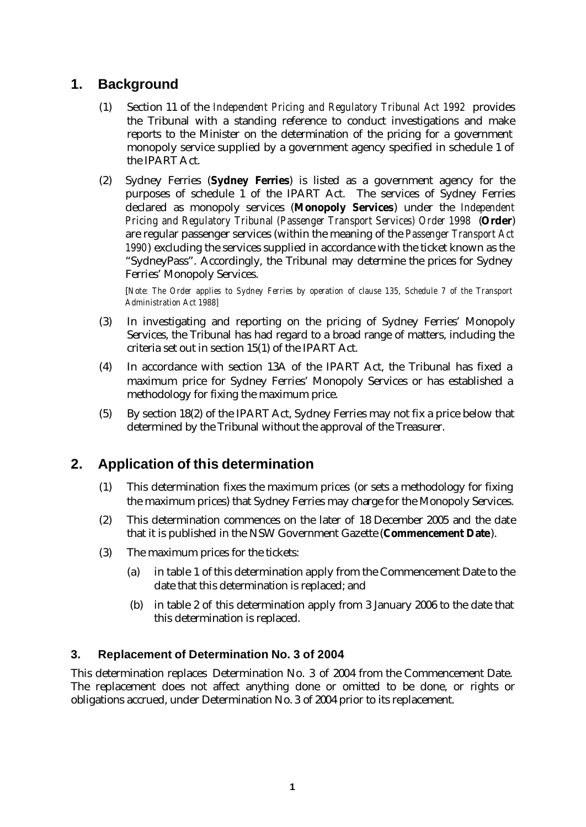# **1. Background**

- (1) Section 11 of the *Independent Pricing and Regulatory Tribunal Act 1992* provides the Tribunal with a standing reference to conduct investigations and make reports to the Minister on the determination of the pricing for a government monopoly service supplied by a government agency specified in schedule 1 of the IPART Act.
- (2) Sydney Ferries (**Sydney Ferries**) is listed as a government agency for the purposes of schedule 1 of the IPART Act. The services of Sydney Ferries declared as monopoly services (**Monopoly Services**) under the *Independent Pricing and Regulatory Tribunal (Passenger Transport Services) Order 1998* (**Order**) are regular passenger services (within the meaning of the *Passenger Transport Act 1990*) excluding the services supplied in accordance with the ticket known as the "SydneyPass". Accordingly, the Tribunal may determine the prices for Sydney Ferries' Monopoly Services.

[*Note: The Order applies to Sydney Ferries by operation of clause 135, Schedule 7 of the Transport Administration Act 1988]* 

- (3) In investigating and reporting on the pricing of Sydney Ferries' Monopoly Services, the Tribunal has had regard to a broad range of matters, including the criteria set out in section 15(1) of the IPART Act.
- (4) In accordance with section 13A of the IPART Act, the Tribunal has fixed a maximum price for Sydney Ferries' Monopoly Services or has established a methodology for fixing the maximum price.
- (5) By section 18(2) of the IPART Act, Sydney Ferries may not fix a price below that determined by the Tribunal without the approval of the Treasurer.

# **2. Application of this determination**

- (1) This determination fixes the maximum prices (or sets a methodology for fixing the maximum prices) that Sydney Ferries may charge for the Monopoly Services.
- (2) This determination commences on the later of 18 December 2005 and the date that it is published in the NSW Government Gazette (**Commencement Date**).
- (3) The maximum prices for the tickets:
	- (a) in table 1 of this determination apply from the Commencement Date to the date that this determination is replaced; and
	- (b) in table 2 of this determination apply from 3 January 2006 to the date that this determination is replaced.

#### **3. Replacement of Determination No. 3 of 2004**

This determination replaces Determination No. 3 of 2004 from the Commencement Date. The replacement does not affect anything done or omitted to be done, or rights or obligations accrued, under Determination No. 3 of 2004 prior to its replacement.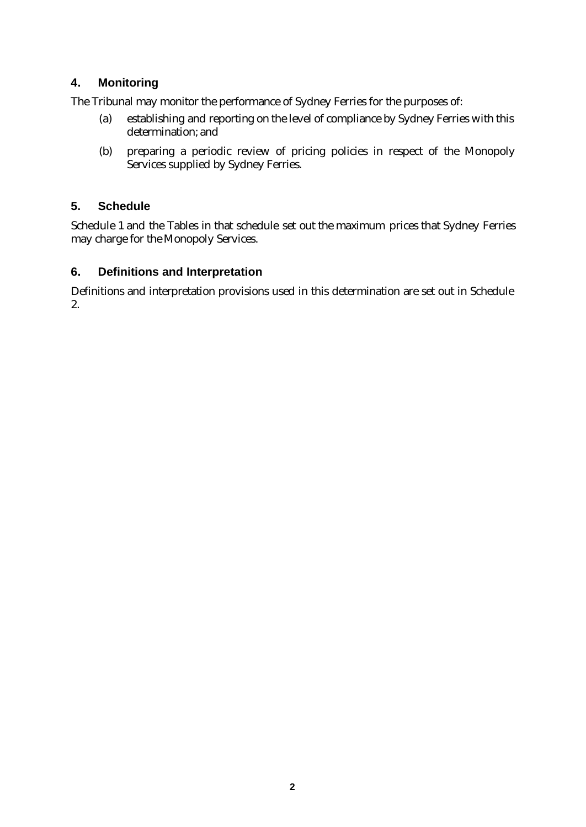### **4. Monitoring**

The Tribunal may monitor the performance of Sydney Ferries for the purposes of:

- (a) establishing and reporting on the level of compliance by Sydney Ferries with this determination; and
- (b) preparing a periodic review of pricing policies in respect of the Monopoly Services supplied by Sydney Ferries.

### **5. Schedule**

Schedule 1 and the Tables in that schedule set out the maximum prices that Sydney Ferries may charge for the Monopoly Services.

## **6. Definitions and Interpretation**

Definitions and interpretation provisions used in this determination are set out in Schedule 2.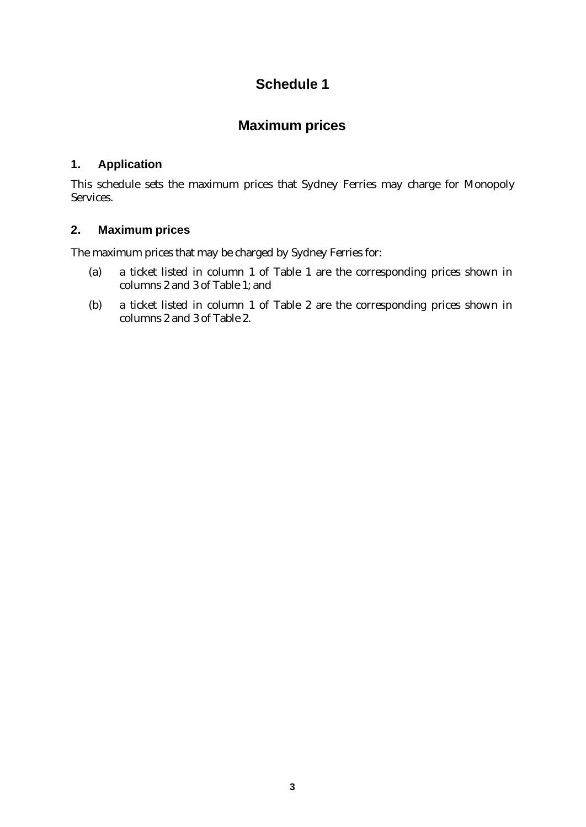# **Schedule 1**

## **Maximum prices**

### **1. Application**

This schedule sets the maximum prices that Sydney Ferries may charge for Monopoly Services.

## **2. Maximum prices**

The maximum prices that may be charged by Sydney Ferries for:

- (a) a ticket listed in column 1 of Table 1 are the corresponding prices shown in columns 2 and 3 of Table 1; and
- (b) a ticket listed in column 1 of Table 2 are the corresponding prices shown in columns 2 and 3 of Table 2.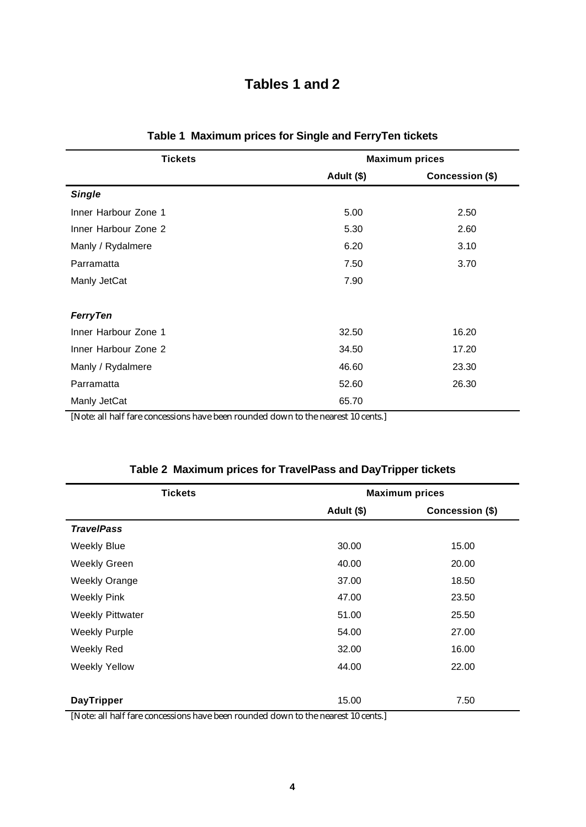# **Tables 1 and 2**

| <b>Tickets</b>       |            | <b>Maximum prices</b> |
|----------------------|------------|-----------------------|
|                      | Adult (\$) | Concession (\$)       |
| <b>Single</b>        |            |                       |
| Inner Harbour Zone 1 | 5.00       | 2.50                  |
| Inner Harbour Zone 2 | 5.30       | 2.60                  |
| Manly / Rydalmere    | 6.20       | 3.10                  |
| Parramatta           | 7.50       | 3.70                  |
| Manly JetCat         | 7.90       |                       |
| <b>FerryTen</b>      |            |                       |
| Inner Harbour Zone 1 | 32.50      | 16.20                 |
| Inner Harbour Zone 2 | 34.50      | 17.20                 |
| Manly / Rydalmere    | 46.60      | 23.30                 |
| Parramatta           | 52.60      | 26.30                 |
| Manly JetCat         | 65.70      |                       |

| Table 1 Maximum prices for Single and FerryTen tickets |  |
|--------------------------------------------------------|--|
|--------------------------------------------------------|--|

[Note: all half fare concessions have been rounded down to the nearest 10 cents.]

| <b>Tickets</b>          | <b>Maximum prices</b> |                 |  |  |
|-------------------------|-----------------------|-----------------|--|--|
|                         | Adult (\$)            | Concession (\$) |  |  |
| <b>TravelPass</b>       |                       |                 |  |  |
| <b>Weekly Blue</b>      | 30.00                 | 15.00           |  |  |
| <b>Weekly Green</b>     | 40.00                 | 20.00           |  |  |
| <b>Weekly Orange</b>    | 37.00                 | 18.50           |  |  |
| <b>Weekly Pink</b>      | 47.00                 | 23.50           |  |  |
| <b>Weekly Pittwater</b> | 51.00                 | 25.50           |  |  |
| <b>Weekly Purple</b>    | 54.00                 | 27.00           |  |  |
| Weekly Red              | 32.00                 | 16.00           |  |  |
| <b>Weekly Yellow</b>    | 44.00                 | 22.00           |  |  |
|                         |                       |                 |  |  |
| <b>DayTripper</b>       | 15.00                 | 7.50            |  |  |

|  |  |  |  | Table 2 Maximum prices for TravelPass and DayTripper tickets |
|--|--|--|--|--------------------------------------------------------------|
|--|--|--|--|--------------------------------------------------------------|

[Note: all half fare concessions have been rounded down to the nearest 10 cents.]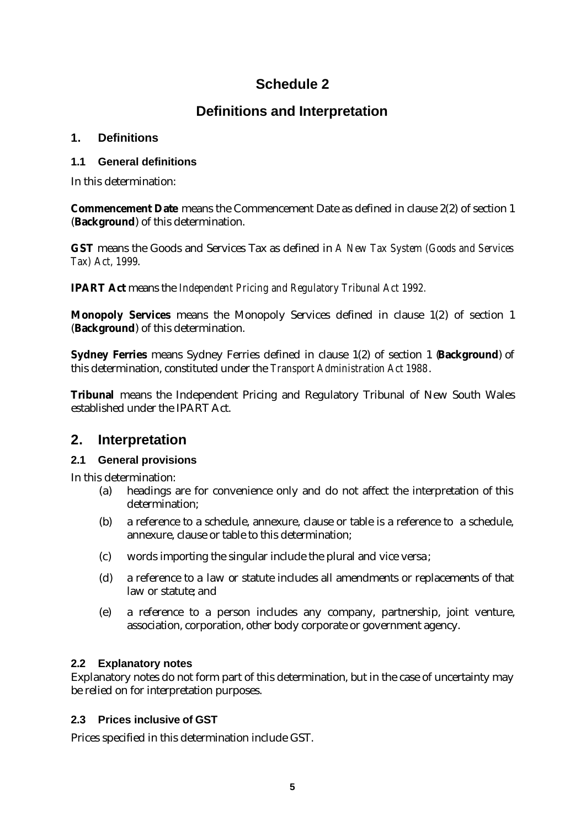# **Schedule 2**

# **Definitions and Interpretation**

#### **1. Definitions**

#### **1.1 General definitions**

In this determination:

**Commencement Date** means the Commencement Date as defined in clause 2(2) of section 1 (**Background**) of this determination.

**GST** means the Goods and Services Tax as defined in *A New Tax System (Goods and Services Tax) Act, 1999*.

**IPART Act** means the *Independent Pricing and Regulatory Tribunal Act 1992.*

**Monopoly Services** means the Monopoly Services defined in clause 1(2) of section 1 (**Background**) of this determination.

**Sydney Ferries** means Sydney Ferries defined in clause 1(2) of section 1 (**Background**) of this determination, constituted under the *Transport Administration Act 1988*.

**Tribunal** means the Independent Pricing and Regulatory Tribunal of New South Wales established under the IPART Act.

## **2. Interpretation**

### **2.1 General provisions**

In this determination:

- (a) headings are for convenience only and do not affect the interpretation of this determination;
- (b) a reference to a schedule, annexure, clause or table is a reference to a schedule, annexure, clause or table to this determination;
- (c) words importing the singular include the plural and vice versa;
- (d) a reference to a law or statute includes all amendments or replacements of that law or statute; and
- (e) a reference to a person includes any company, partnership, joint venture, association, corporation, other body corporate or government agency.

### **2.2 Explanatory notes**

Explanatory notes do not form part of this determination, but in the case of uncertainty may be relied on for interpretation purposes.

### **2.3 Prices inclusive of GST**

Prices specified in this determination include GST.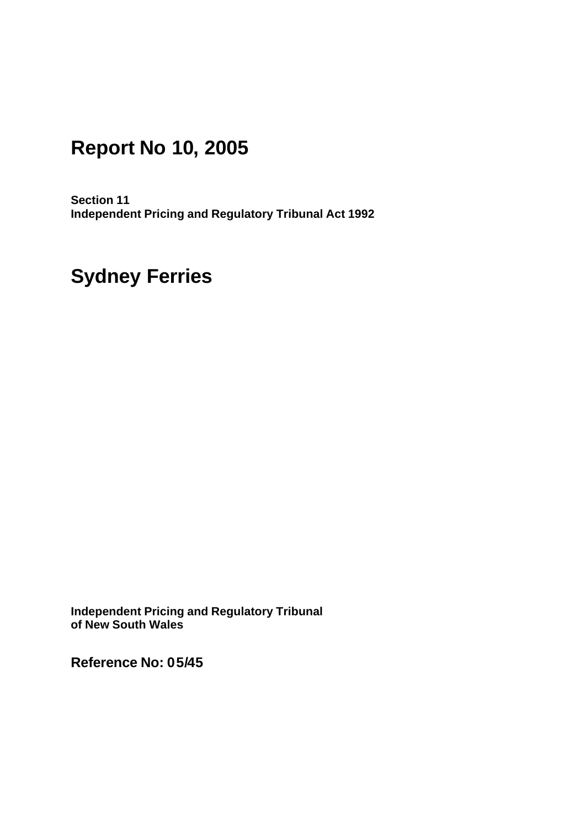# **Report No 10, 2005**

**Section 11 Independent Pricing and Regulatory Tribunal Act 1992**

# **Sydney Ferries**

**Independent Pricing and Regulatory Tribunal of New South Wales**

**Reference No: 05/45**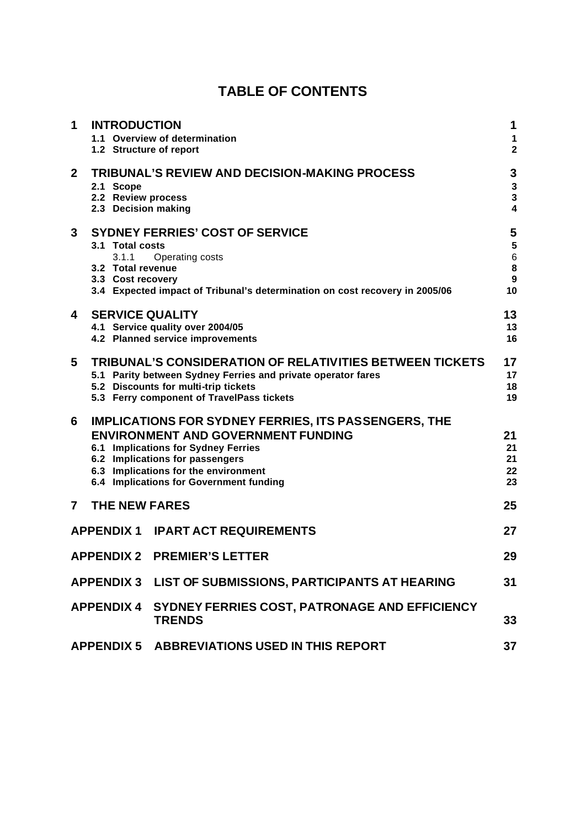# **TABLE OF CONTENTS**

| 1              | <b>INTRODUCTION</b>                                                               | 1.1 Overview of determination                                                                                                                                                                                                                                         | 1<br>1                                                   |
|----------------|-----------------------------------------------------------------------------------|-----------------------------------------------------------------------------------------------------------------------------------------------------------------------------------------------------------------------------------------------------------------------|----------------------------------------------------------|
| $\mathbf{2}$   | 1.2 Structure of report<br>2.1 Scope<br>2.2 Review process<br>2.3 Decision making | <b>TRIBUNAL'S REVIEW AND DECISION-MAKING PROCESS</b>                                                                                                                                                                                                                  | $\overline{\mathbf{2}}$<br>3<br>3<br>3<br>$\overline{4}$ |
| 3              | 3.1 Total costs<br>3.1.1<br>3.2 Total revenue<br>3.3 Cost recovery                | <b>SYDNEY FERRIES' COST OF SERVICE</b><br>Operating costs<br>3.4 Expected impact of Tribunal's determination on cost recovery in 2005/06                                                                                                                              | 5<br>5<br>6<br>8<br>9<br>10                              |
| 4              | <b>SERVICE QUALITY</b>                                                            | 4.1 Service quality over 2004/05<br>4.2 Planned service improvements                                                                                                                                                                                                  | 13<br>13<br>16                                           |
| 5              |                                                                                   | <b>TRIBUNAL'S CONSIDERATION OF RELATIVITIES BETWEEN TICKETS</b><br>5.1 Parity between Sydney Ferries and private operator fares<br>5.2 Discounts for multi-trip tickets<br>5.3 Ferry component of TravelPass tickets                                                  | 17<br>17<br>18<br>19                                     |
| 6              |                                                                                   | <b>IMPLICATIONS FOR SYDNEY FERRIES, ITS PASSENGERS, THE</b><br><b>ENVIRONMENT AND GOVERNMENT FUNDING</b><br>6.1 Implications for Sydney Ferries<br>6.2 Implications for passengers<br>6.3 Implications for the environment<br>6.4 Implications for Government funding | 21<br>21<br>21<br>22<br>23                               |
| $\overline{7}$ | <b>THE NEW FARES</b>                                                              |                                                                                                                                                                                                                                                                       | 25                                                       |
|                |                                                                                   | <b>APPENDIX 1 IPART ACT REQUIREMENTS</b>                                                                                                                                                                                                                              | 27                                                       |
|                |                                                                                   | <b>APPENDIX 2 PREMIER'S LETTER</b>                                                                                                                                                                                                                                    | 29                                                       |
|                |                                                                                   | APPENDIX 3 LIST OF SUBMISSIONS, PARTICIPANTS AT HEARING                                                                                                                                                                                                               | 31                                                       |
|                |                                                                                   | APPENDIX 4 SYDNEY FERRIES COST, PATRONAGE AND EFFICIENCY<br><b>TRENDS</b>                                                                                                                                                                                             | 33                                                       |
|                |                                                                                   | APPENDIX 5 ABBREVIATIONS USED IN THIS REPORT                                                                                                                                                                                                                          | 37                                                       |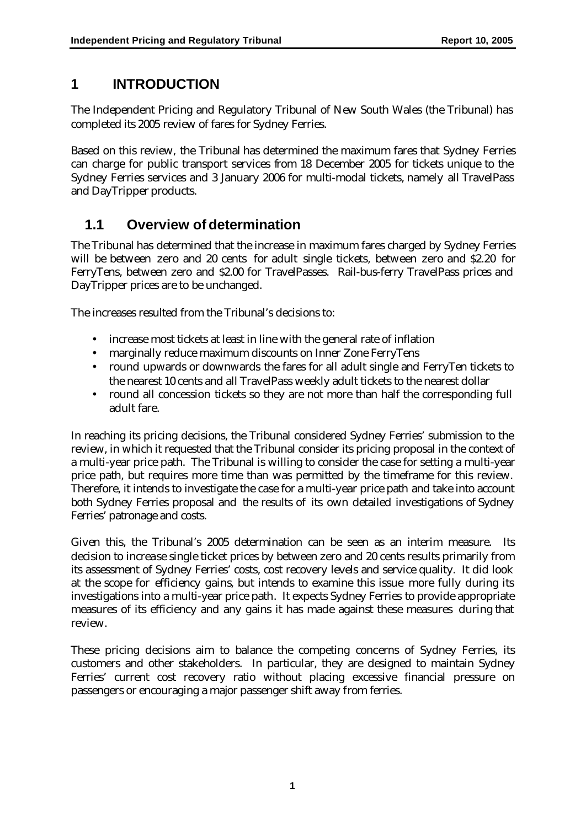# **1 INTRODUCTION**

The Independent Pricing and Regulatory Tribunal of New South Wales (the Tribunal) has completed its 2005 review of fares for Sydney Ferries.

Based on this review, the Tribunal has determined the maximum fares that Sydney Ferries can charge for public transport services from 18 December 2005 for tickets unique to the Sydney Ferries services and 3 January 2006 for multi-modal tickets, namely all TravelPass and DayTripper products.

# **1.1 Overview of determination**

The Tribunal has determined that the increase in maximum fares charged by Sydney Ferries will be between zero and 20 cents for adult single tickets, between zero and \$2.20 for FerryTens, between zero and \$2.00 for TravelPasses. Rail-bus-ferry TravelPass prices and DayTripper prices are to be unchanged.

The increases resulted from the Tribunal's decisions to:

- increase most tickets at least in line with the general rate of inflation
- marginally reduce maximum discounts on Inner Zone FerryTens
- round upwards or downwards the fares for all adult single and FerryTen tickets to the nearest 10 cents and all TravelPass weekly adult tickets to the nearest dollar
- round all concession tickets so they are not more than half the corresponding full adult fare.

In reaching its pricing decisions, the Tribunal considered Sydney Ferries' submission to the review, in which it requested that the Tribunal consider its pricing proposal in the context of a multi-year price path. The Tribunal is willing to consider the case for setting a multi-year price path, but requires more time than was permitted by the timeframe for this review. Therefore, it intends to investigate the case for a multi-year price path and take into account both Sydney Ferries proposal and the results of its own detailed investigations of Sydney Ferries' patronage and costs.

Given this, the Tribunal's 2005 determination can be seen as an interim measure. Its decision to increase single ticket prices by between zero and 20 cents results primarily from its assessment of Sydney Ferries' costs, cost recovery levels and service quality. It did look at the scope for efficiency gains, but intends to examine this issue more fully during its investigations into a multi-year price path. It expects Sydney Ferries to provide appropriate measures of its efficiency and any gains it has made against these measures during that review.

These pricing decisions aim to balance the competing concerns of Sydney Ferries, its customers and other stakeholders. In particular, they are designed to maintain Sydney Ferries' current cost recovery ratio without placing excessive financial pressure on passengers or encouraging a major passenger shift away from ferries.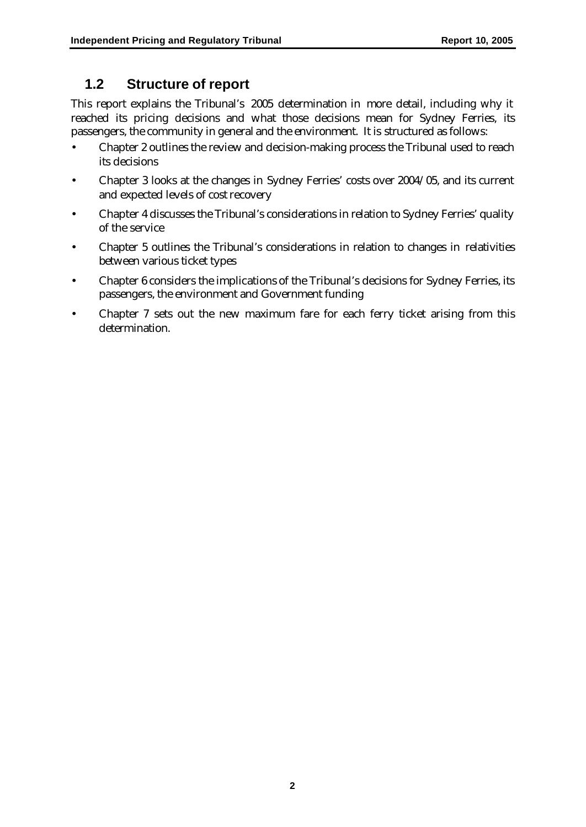## **1.2 Structure of report**

This report explains the Tribunal's 2005 determination in more detail, including why it reached its pricing decisions and what those decisions mean for Sydney Ferries, its passengers, the community in general and the environment. It is structured as follows:

- Chapter 2 outlines the review and decision-making process the Tribunal used to reach its decisions
- Chapter 3 looks at the changes in Sydney Ferries' costs over 2004/05, and its current and expected levels of cost recovery
- Chapter 4 discusses the Tribunal's considerations in relation to Sydney Ferries' quality of the service
- Chapter 5 outlines the Tribunal's considerations in relation to changes in relativities between various ticket types
- Chapter 6 considers the implications of the Tribunal's decisions for Sydney Ferries, its passengers, the environment and Government funding
- Chapter 7 sets out the new maximum fare for each ferry ticket arising from this determination.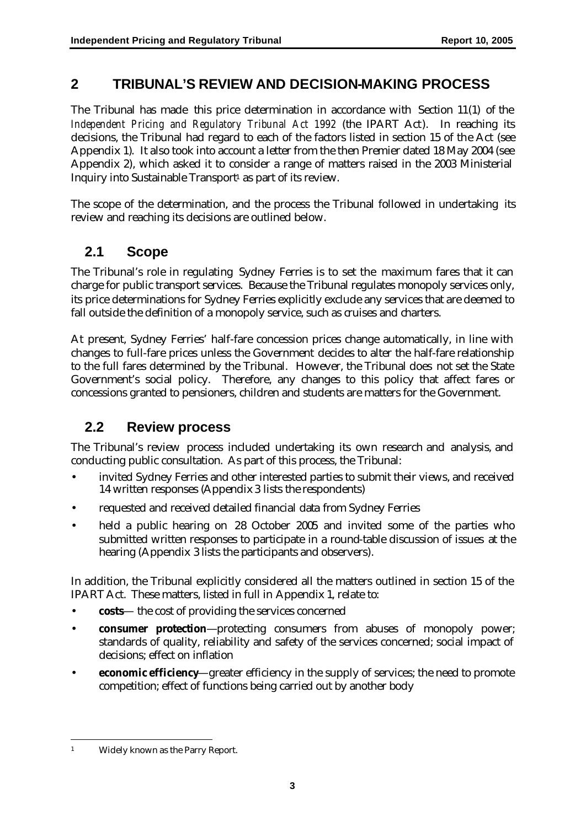## **2 TRIBUNAL'S REVIEW AND DECISION-MAKING PROCESS**

The Tribunal has made this price determination in accordance with Section 11(1) of the *Independent Pricing and Regulatory Tribunal Act 1992* (the IPART Act). In reaching its decisions, the Tribunal had regard to each of the factors listed in section 15 of the Act (see Appendix 1). It also took into account a letter from the then Premier dated 18 May 2004 (see Appendix 2), which asked it to consider a range of matters raised in the 2003 Ministerial Inquiry into Sustainable Transport<sup>1</sup> as part of its review.

The scope of the determination, and the process the Tribunal followed in undertaking its review and reaching its decisions are outlined below.

# **2.1 Scope**

The Tribunal's role in regulating Sydney Ferries is to set the maximum fares that it can charge for public transport services. Because the Tribunal regulates monopoly services only, its price determinations for Sydney Ferries explicitly exclude any services that are deemed to fall outside the definition of a monopoly service, such as cruises and charters.

At present, Sydney Ferries' half-fare concession prices change automatically, in line with changes to full-fare prices unless the Government decides to alter the half-fare relationship to the full fares determined by the Tribunal. However, the Tribunal does not set the State Government's social policy. Therefore, any changes to this policy that affect fares or concessions granted to pensioners, children and students are matters for the Government.

## **2.2 Review process**

The Tribunal's review process included undertaking its own research and analysis, and conducting public consultation. As part of this process, the Tribunal:

- invited Sydney Ferries and other interested parties to submit their views, and received 14 written responses (Appendix 3 lists the respondents)
- requested and received detailed financial data from Sydney Ferries
- held a public hearing on 28 October 2005 and invited some of the parties who submitted written responses to participate in a round-table discussion of issues at the hearing (Appendix 3 lists the participants and observers).

In addition, the Tribunal explicitly considered all the matters outlined in section 15 of the IPART Act. These matters, listed in full in Appendix 1, relate to:

- **costs** the cost of providing the services concerned
- **consumer protection**—protecting consumers from abuses of monopoly power; standards of quality, reliability and safety of the services concerned; social impact of decisions; effect on inflation
- **economic efficiency**—greater efficiency in the supply of services; the need to promote competition; effect of functions being carried out by another body

 $\overline{a}$ <sup>1</sup> Widely known as the Parry Report.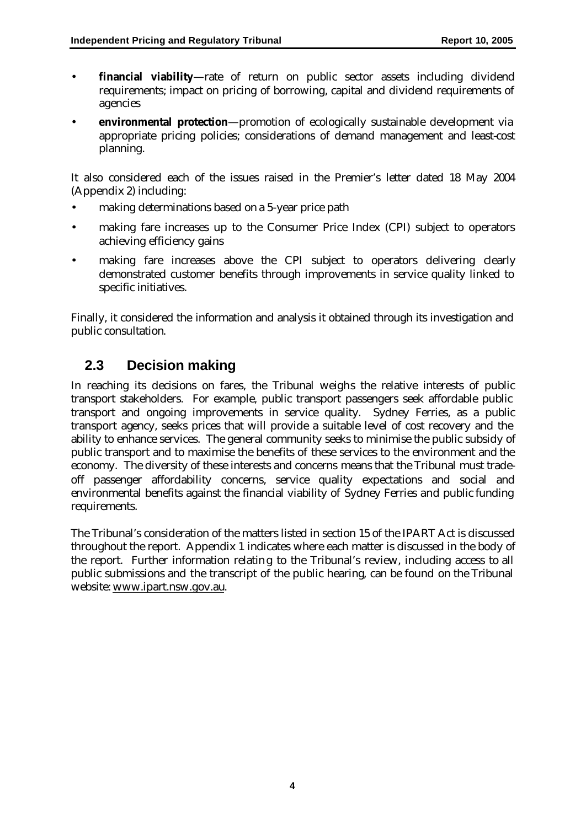- **financial viability**—rate of return on public sector assets including dividend requirements; impact on pricing of borrowing, capital and dividend requirements of agencies
- **environmental protection**—promotion of ecologically sustainable development via appropriate pricing policies; considerations of demand management and least-cost planning.

It also considered each of the issues raised in the Premier's letter dated 18 May 2004 (Appendix 2) including:

- making determinations based on a 5-year price path
- making fare increases up to the Consumer Price Index (CPI) subject to operators achieving efficiency gains
- making fare increases above the CPI subject to operators delivering clearly demonstrated customer benefits through improvements in service quality linked to specific initiatives.

Finally, it considered the information and analysis it obtained through its investigation and public consultation.

## **2.3 Decision making**

In reaching its decisions on fares, the Tribunal weighs the relative interests of public transport stakeholders. For example, public transport passengers seek affordable public transport and ongoing improvements in service quality. Sydney Ferries, as a public transport agency, seeks prices that will provide a suitable level of cost recovery and the ability to enhance services. The general community seeks to minimise the public subsidy of public transport and to maximise the benefits of these services to the environment and the economy. The diversity of these interests and concerns means that the Tribunal must tradeoff passenger affordability concerns, service quality expectations and social and environmental benefits against the financial viability of Sydney Ferries and public funding requirements.

The Tribunal's consideration of the matters listed in section 15 of the IPART Act is discussed throughout the report. Appendix 1 indicates where each matter is discussed in the body of the report. Further information relating to the Tribunal's review, including access to all public submissions and the transcript of the public hearing, can be found on the Tribunal website: www.ipart.nsw.gov.au.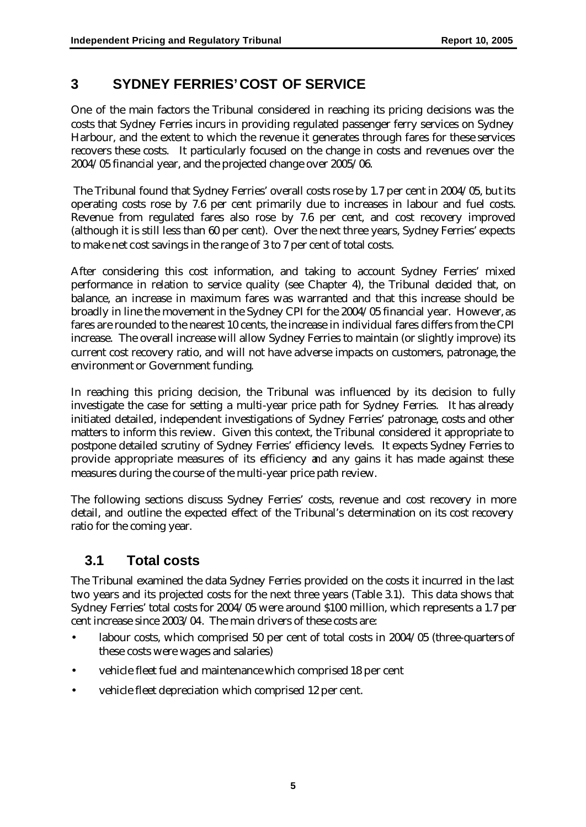# **3 SYDNEY FERRIES' COST OF SERVICE**

One of the main factors the Tribunal considered in reaching its pricing decisions was the costs that Sydney Ferries incurs in providing regulated passenger ferry services on Sydney Harbour, and the extent to which the revenue it generates through fares for these services recovers these costs. It particularly focused on the change in costs and revenues over the 2004/05 financial year, and the projected change over 2005/06.

 The Tribunal found that Sydney Ferries' overall costs rose by 1.7 per cent in 2004/05, but its operating costs rose by 7.6 per cent primarily due to increases in labour and fuel costs. Revenue from regulated fares also rose by 7.6 per cent, and cost recovery improved (although it is still less than 60 per cent). Over the next three years, Sydney Ferries' expects to make net cost savings in the range of 3 to 7 per cent of total costs.

After considering this cost information, and taking to account Sydney Ferries' mixed performance in relation to service quality (see Chapter 4), the Tribunal decided that, on balance, an increase in maximum fares was warranted and that this increase should be broadly in line the movement in the Sydney CPI for the 2004/05 financial year. However, as fares are rounded to the nearest 10 cents, the increase in individual fares differs from the CPI increase. The overall increase will allow Sydney Ferries to maintain (or slightly improve) its current cost recovery ratio, and will not have adverse impacts on customers, patronage, the environment or Government funding.

In reaching this pricing decision, the Tribunal was influenced by its decision to fully investigate the case for setting a multi-year price path for Sydney Ferries. It has already initiated detailed, independent investigations of Sydney Ferries' patronage, costs and other matters to inform this review. Given this context, the Tribunal considered it appropriate to postpone detailed scrutiny of Sydney Ferries' efficiency levels. It expects Sydney Ferries to provide appropriate measures of its efficiency and any gains it has made against these measures during the course of the multi-year price path review.

The following sections discuss Sydney Ferries' costs, revenue and cost recovery in more detail, and outline the expected effect of the Tribunal's determination on its cost recovery ratio for the coming year.

## **3.1 Total costs**

The Tribunal examined the data Sydney Ferries provided on the costs it incurred in the last two years and its projected costs for the next three years (Table 3.1). This data shows that Sydney Ferries' total costs for 2004/05 were around \$100 million, which represents a 1.7 per cent increase since 2003/04. The main drivers of these costs are:

- labour costs, which comprised 50 per cent of total costs in 2004/05 (three-quarters of these costs were wages and salaries)
- vehicle fleet fuel and maintenance which comprised 18 per cent
- vehicle fleet depreciation which comprised 12 per cent.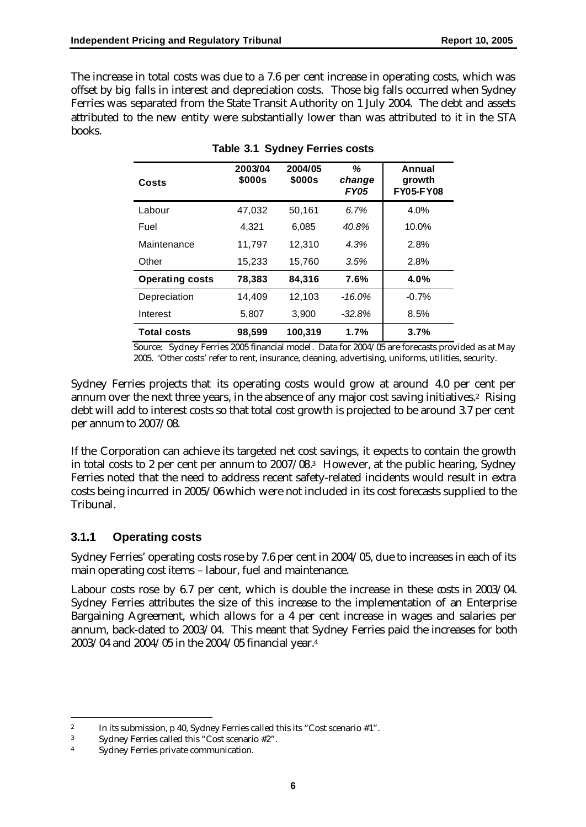The increase in total costs was due to a 7.6 per cent increase in operating costs, which was offset by big falls in interest and depreciation costs. Those big falls occurred when Sydney Ferries was separated from the State Transit Authority on 1 July 2004. The debt and assets attributed to the new entity were substantially lower than was attributed to it in the STA books.

| Costs                  | 2003/04<br>\$000s | 2004/05<br>\$000s | ℅<br>change<br><b>FY05</b> | Annual<br>growth<br><b>FY05-FY08</b> |
|------------------------|-------------------|-------------------|----------------------------|--------------------------------------|
| Labour                 | 47,032            | 50,161            | 6.7%                       | 4.0%                                 |
| Fuel                   | 4.321             | 6.085             | 40.8%                      | 10.0%                                |
| Maintenance            | 11.797            | 12.310            | 4.3%                       | 2.8%                                 |
| Other                  | 15,233            | 15,760            | 3.5%                       | 2.8%                                 |
| <b>Operating costs</b> | 78,383            | 84,316            | 7.6%                       | 4.0%                                 |
| Depreciation           | 14,409            | 12,103            | $-16.0%$                   | $-0.7%$                              |
| Interest               | 5,807             | 3,900             | $-32.8%$                   | 8.5%                                 |
| <b>Total costs</b>     | 98.599            | 100.319           | 1.7%                       | 3.7%                                 |

#### **Table 3.1 Sydney Ferries costs**

Source: Sydney Ferries 2005 financial model. Data for 2004/05 are forecasts provided as at May 2005. 'Other costs' refer to rent, insurance, cleaning, advertising, uniforms, utilities, security.

Sydney Ferries projects that its operating costs would grow at around 4.0 per cent per annum over the next three years, in the absence of any major cost saving initiatives.2 Rising debt will add to interest costs so that total cost growth is projected to be around 3.7 per cent per annum to 2007/08.

If the Corporation can achieve its targeted net cost savings, it expects to contain the growth in total costs to 2 per cent per annum to 2007/08. <sup>3</sup> However, at the public hearing, Sydney Ferries noted that the need to address recent safety-related incidents would result in extra costs being incurred in 2005/06 which were not included in its cost forecasts supplied to the Tribunal.

#### **3.1.1 Operating costs**

Sydney Ferries' operating costs rose by 7.6 per cent in 2004/05, due to increases in each of its main operating cost items – labour, fuel and maintenance.

Labour costs rose by 6.7 per cent, which is double the increase in these costs in 2003/04. Sydney Ferries attributes the size of this increase to the implementation of an Enterprise Bargaining Agreement, which allows for a 4 per cent increase in wages and salaries per annum, back-dated to 2003/04. This meant that Sydney Ferries paid the increases for both 2003/04 and 2004/05 in the 2004/05 financial year.<sup>4</sup>

 $\overline{a}$ 

<sup>&</sup>lt;sup>2</sup> In its submission, p 40, Sydney Ferries called this its "Cost scenario  $#1$ ".

<sup>3</sup> Sydney Ferries called this "Cost scenario #2".

<sup>4</sup> Sydney Ferries private communication.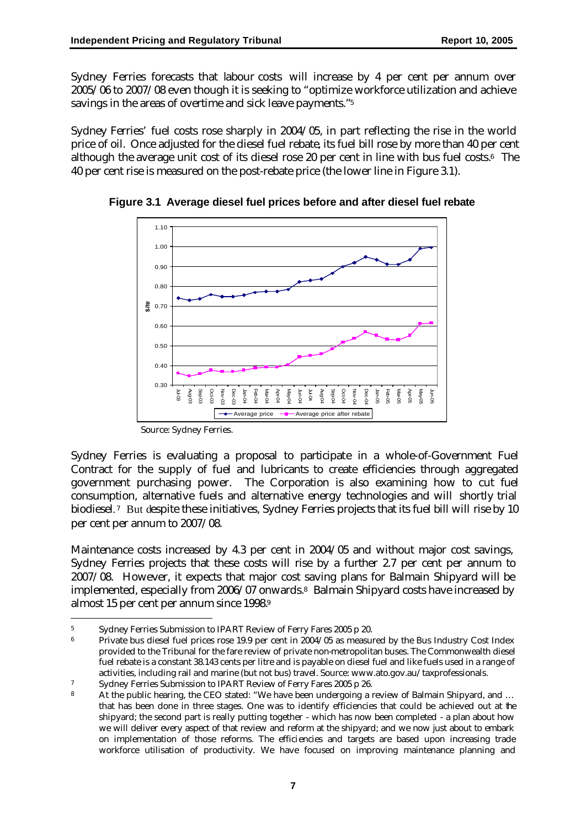Sydney Ferries forecasts that labour costs will increase by 4 per cent per annum over 2005/06 to 2007/08 even though it is seeking to "optimize workforce utilization and achieve savings in the areas of overtime and sick leave payments."<sup>5</sup>

Sydney Ferries' fuel costs rose sharply in 2004/05, in part reflecting the rise in the world price of oil. Once adjusted for the diesel fuel rebate, its fuel bill rose by more than 40 per cent although the average unit cost of its diesel rose 20 per cent in line with bus fuel costs. <sup>6</sup> The 40 per cent rise is measured on the post-rebate price (the lower line in Figure 3.1).



**Figure 3.1 Average diesel fuel prices before and after diesel fuel rebate**

Source: Sydney Ferries.

 $\overline{a}$ 

Sydney Ferries is evaluating a proposal to participate in a whole-of-Government Fuel Contract for the supply of fuel and lubricants to create efficiencies through aggregated government purchasing power. The Corporation is also examining how to cut fuel consumption, alternative fuels and alternative energy technologies and will shortly trial biodiesel. <sup>7</sup> But despite these initiatives, Sydney Ferries projects that its fuel bill will rise by 10 per cent per annum to 2007/08.

Maintenance costs increased by 4.3 per cent in 2004/05 and without major cost savings, Sydney Ferries projects that these costs will rise by a further 2.7 per cent per annum to 2007/08. However, it expects that major cost saving plans for Balmain Shipyard will be implemented, especially from 2006/07 onwards.<sup>8</sup> Balmain Shipyard costs have increased by almost 15 per cent per annum since 1998.<sup>9</sup>

<sup>5</sup> Sydney Ferries Submission to IPART Review of Ferry Fares 2005 p 20.

<sup>6</sup> Private bus diesel fuel prices rose 19.9 per cent in 2004/05 as measured by the Bus Industry Cost Index provided to the Tribunal for the fare review of private non-metropolitan buses. The Commonwealth diesel fuel rebate is a constant 38.143 cents per litre and is payable on diesel fuel and like fuels used in a range of activities, including rail and marine (but not bus) travel. Source: www.ato.gov.au/taxprofessionals.

<sup>7</sup> Sydney Ferries Submission to IPART Review of Ferry Fares 2005 p 26.

<sup>8</sup> At the public hearing, the CEO stated: "We have been undergoing a review of Balmain Shipyard, and ... that has been done in three stages. One was to identify efficiencies that could be achieved out at the shipyard; the second part is really putting together - which has now been completed - a plan about how we will deliver every aspect of that review and reform at the shipyard; and we now just about to embark on implementation of those reforms. The efficiencies and targets are based upon increasing trade workforce utilisation of productivity. We have focused on improving maintenance planning and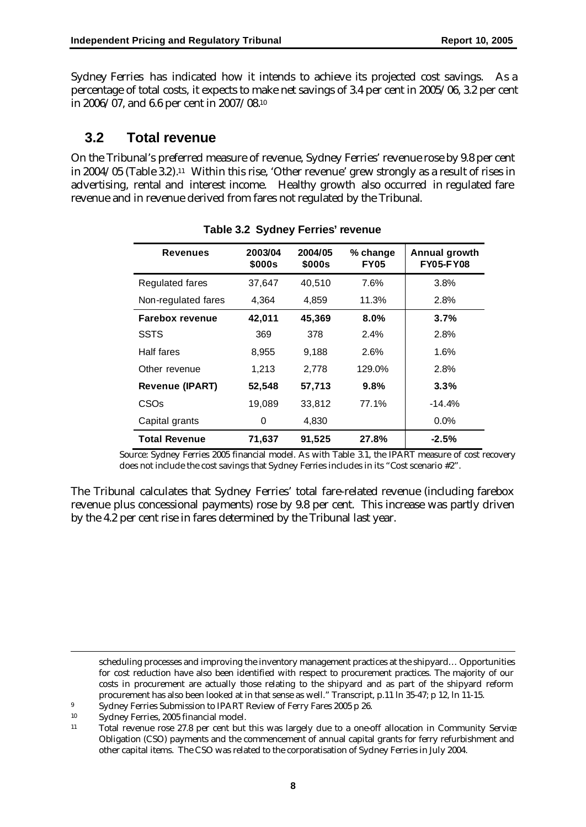Sydney Ferries has indicated how it intends to achieve its projected cost savings. As a percentage of total costs, it expects to make net savings of 3.4 per cent in 2005/06, 3.2 per cent in 2006/07, and 6.6 per cent in 2007/08.<sup>10</sup>

## **3.2 Total revenue**

On the Tribunal's preferred measure of revenue, Sydney Ferries' revenue rose by 9.8 per cent in 2004/05 (Table 3.2).11 Within this rise, 'Other revenue' grew strongly as a result of rises in advertising, rental and interest income. Healthy growth also occurred in regulated fare revenue and in revenue derived from fares not regulated by the Tribunal.

| <b>Revenues</b>        | 2003/04<br>\$000s | 2004/05<br>\$000s | % change<br><b>FY05</b> | Annual growth<br><b>FY05-FY08</b> |
|------------------------|-------------------|-------------------|-------------------------|-----------------------------------|
| <b>Regulated fares</b> | 37.647            | 40.510            | 7.6%                    | 3.8%                              |
| Non-regulated fares    | 4,364             | 4,859             | 11.3%                   | 2.8%                              |
| <b>Farebox revenue</b> | 42,011            | 45,369            | 8.0%                    | 3.7%                              |
| <b>SSTS</b>            | 369               | 378               | 2.4%                    | 2.8%                              |
| Half fares             | 8,955             | 9.188             | 2.6%                    | 1.6%                              |
| Other revenue          | 1,213             | 2,778             | 129.0%                  | 2.8%                              |
| <b>Revenue (IPART)</b> | 52,548            | 57,713            | 9.8%                    | 3.3%                              |
| CSO <sub>s</sub>       | 19,089            | 33,812            | 77.1%                   | $-14.4\%$                         |
| Capital grants         | 0                 | 4,830             |                         | $0.0\%$                           |
| <b>Total Revenue</b>   | 71,637            | 91,525            | 27.8%                   | $-2.5%$                           |

**Table 3.2 Sydney Ferries' revenue**

Source: Sydney Ferries 2005 financial model. As with Table 3.1, the IPART measure of cost recovery does not include the cost savings that Sydney Ferries includes in its "Cost scenario #2".

The Tribunal calculates that Sydney Ferries' total fare-related revenue (including farebox revenue plus concessional payments) rose by 9.8 per cent. This increase was partly driven by the 4.2 per cent rise in fares determined by the Tribunal last year.

scheduling processes and improving the inventory management practices at the shipyard… Opportunities for cost reduction have also been identified with respect to procurement practices. The majority of our costs in procurement are actually those relating to the shipyard and as part of the shipyard reform procurement has also been looked at in that sense as well." Transcript, p.11 ln 35-47; p 12, ln 11-15.

 $\overline{a}$ 

<sup>&</sup>lt;sup>9</sup> Sydney Ferries Submission to IPART Review of Ferry Fares 2005 p 26.

<sup>10</sup> Sydney Ferries, 2005 financial model.

<sup>11</sup> Total revenue rose 27.8 per cent but this was largely due to a one-off allocation in Community Service Obligation (CSO) payments and the commencement of annual capital grants for ferry refurbishment and other capital items. The CSO was related to the corporatisation of Sydney Ferries in July 2004.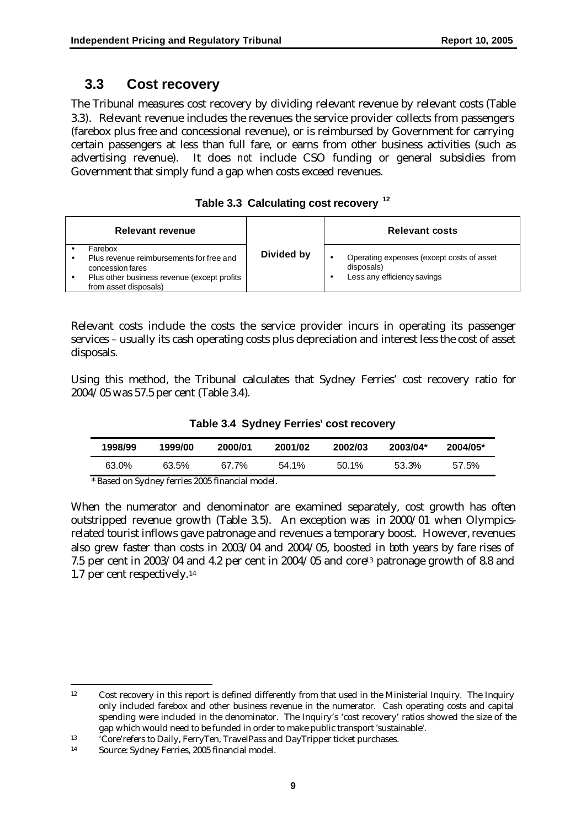## **3.3 Cost recovery**

The Tribunal measures cost recovery by dividing relevant revenue by relevant costs (Table 3.3). Relevant revenue includes the revenues the service provider collects from passengers (farebox plus free and concessional revenue), or is reimbursed by Government for carrying certain passengers at less than full fare, or earns from other business activities (such as advertising revenue). It does *not* include CSO funding or general subsidies from Government that simply fund a gap when costs exceed revenues.

|  | Table 3.3 Calculating cost recovery <sup>12</sup> |  |  |  |
|--|---------------------------------------------------|--|--|--|
|--|---------------------------------------------------|--|--|--|

| <b>Relevant revenue</b>                                                                                                                          |            | <b>Relevant costs</b>                                                                  |
|--------------------------------------------------------------------------------------------------------------------------------------------------|------------|----------------------------------------------------------------------------------------|
| Farebox<br>Plus revenue reimbursements for free and<br>concession fares<br>Plus other business revenue (except profits)<br>from asset disposals) | Divided by | Operating expenses (except costs of asset<br>disposals)<br>Less any efficiency savings |

Relevant costs include the costs the service provider incurs in operating its passenger services – usually its cash operating costs plus depreciation and interest less the cost of asset disposals.

Using this method, the Tribunal calculates that Sydney Ferries' cost recovery ratio for 2004/05 was 57.5 per cent (Table 3.4).

|  |  |  |  | Table 3.4 Sydney Ferries' cost recovery |
|--|--|--|--|-----------------------------------------|
|--|--|--|--|-----------------------------------------|

| 1998/99 | 1999/00 | 2000/01 | 2001/02 | 2002/03  | 2003/04* | $2004/05*$ |
|---------|---------|---------|---------|----------|----------|------------|
| 63.0%   | 63.5%   | 67.7%   | 54.1%   | $50.1\%$ | 53.3%    | 57.5%      |

\* Based on Sydney ferries 2005 financial model.

When the numerator and denominator are examined separately, cost growth has often outstripped revenue growth (Table 3.5). An exception was in 2000/01 when Olympicsrelated tourist inflows gave patronage and revenues a temporary boost. However, revenues also grew faster than costs in 2003/04 and 2004/05, boosted in both years by fare rises of 7.5 per cent in  $2003/04$  and 4.2 per cent in  $2004/05$  and core<sup>13</sup> patronage growth of 8.8 and 1.7 per cent respectively.<sup>14</sup>

 $\overline{a}$ 

<sup>12</sup> Cost recovery in this report is defined differently from that used in the Ministerial Inquiry. The Inquiry only included farebox and other business revenue in the numerator. Cash operating costs and capital spending were included in the denominator. The Inquiry's 'cost recovery' ratios showed the size of the gap which would need to be funded in order to make public transport 'sustainable'.

<sup>13</sup> 'Core'refers to Daily, FerryTen, TravelPass and DayTripper ticket purchases.

<sup>14</sup> Source: Sydney Ferries, 2005 financial model.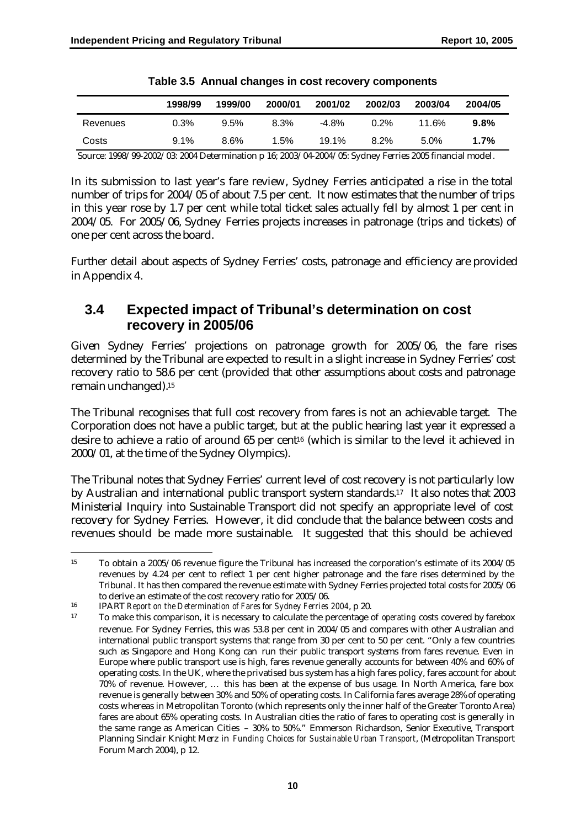|          | 1998/99 | 1999/00 | 2000/01 | 2001/02 | 2002/03 | 2003/04 | 2004/05 |
|----------|---------|---------|---------|---------|---------|---------|---------|
| Revenues | 0.3%    | 9.5%    | 8.3%    | $-4.8%$ | $0.2\%$ | 11.6%   | 9.8%    |
| Costs    | $9.1\%$ | $8.6\%$ | 1.5%    | 19.1%   | 8.2%    | $5.0\%$ | $1.7\%$ |

**Table 3.5 Annual changes in cost recovery components**

Source: 1998/99-2002/03: 2004 Determination p 16; 2003/04-2004/05: Sydney Ferries 2005 financial model.

In its submission to last year's fare review, Sydney Ferries anticipated a rise in the total number of trips for 2004/05 of about 7.5 per cent. It now estimates that the number of trips in this year rose by 1.7 per cent while total ticket sales actually fell by almost 1 per cent in 2004/05. For 2005/06, Sydney Ferries projects increases in patronage (trips and tickets) of one per cent across the board.

Further detail about aspects of Sydney Ferries' costs, patronage and effic iency are provided in Appendix 4.

## **3.4 Expected impact of Tribunal's determination on cost recovery in 2005/06**

Given Sydney Ferries' projections on patronage growth for 2005/06, the fare rises determined by the Tribunal are expected to result in a slight increase in Sydney Ferries' cost recovery ratio to 58.6 per cent (provided that other assumptions about costs and patronage remain unchanged).<sup>15</sup>

The Tribunal recognises that full cost recovery from fares is not an achievable target. The Corporation does not have a public target, but at the public hearing last year it expressed a desire to achieve a ratio of around 65 per cent16 (which is similar to the level it achieved in 2000/01, at the time of the Sydney Olympics).

The Tribunal notes that Sydney Ferries' current level of cost recovery is not particularly low by Australian and international public transport system standards. <sup>17</sup> It also notes that 2003 Ministerial Inquiry into Sustainable Transport did not specify an appropriate level of cost recovery for Sydney Ferries. However, it did conclude that the balance between costs and revenues should be made more sustainable. It suggested that this should be achieved

 $\overline{a}$ <sup>15</sup> To obtain a 2005/06 revenue figure the Tribunal has increased the corporation's estimate of its 2004/05 revenues by 4.24 per cent to reflect 1 per cent higher patronage and the fare rises determined by the Tribunal. It has then compared the revenue estimate with Sydney Ferries projected total costs for 2005/06 to derive an estimate of the cost recovery ratio for 2005/06.

<sup>16</sup> IPART *Report on the Determination of Fares for Sydney Ferries 2004*, p 20.

<sup>17</sup> To make this comparison, it is necessary to calculate the percentage of *operating* costs covered by farebox revenue. For Sydney Ferries, this was 53.8 per cent in 2004/05 and compares with other Australian and international public transport systems that range from 30 per cent to 50 per cent. "Only a few countries such as Singapore and Hong Kong can run their public transport systems from fares revenue. Even in Europe where public transport use is high, fares revenue generally accounts for between 40% and 60% of operating costs. In the UK, where the privatised bus system has a high fares policy, fares account for about 70% of revenue. However, … this has been at the expense of bus usage. In North America, fare box revenue is generally between 30% and 50% of operating costs. In California fares average 28% of operating costs whereas in Metropolitan Toronto (which represents only the inner half of the Greater Toronto Area) fares are about 65% operating costs. In Australian cities the ratio of fares to operating cost is generally in the same range as American Cities – 30% to 50%." Emmerson Richardson, Senior Executive, Transport Planning Sinclair Knight Merz in *Funding Choices for Sustainable Urban Transport*, (Metropolitan Transport Forum March 2004), p 12.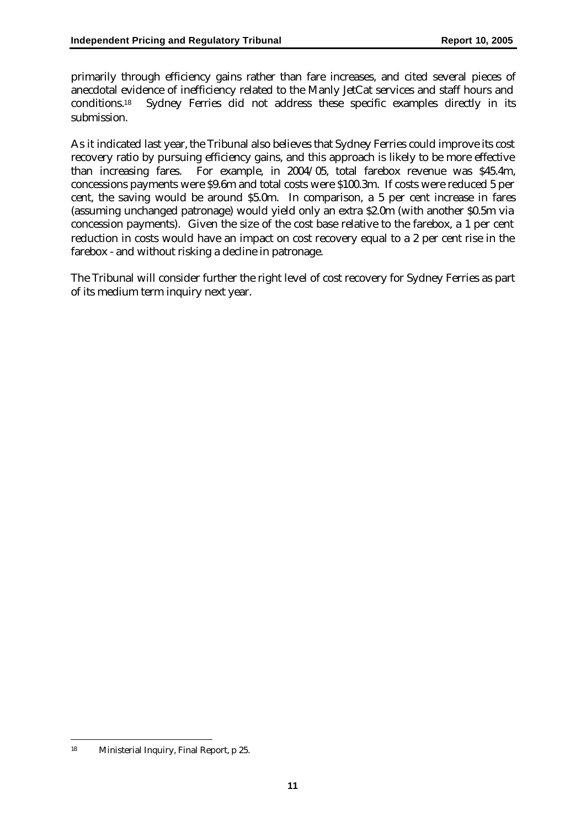primarily through efficiency gains rather than fare increases, and cited several pieces of anecdotal evidence of inefficiency related to the Manly JetCat services and staff hours and conditions.<sup>18</sup> Sydney Ferries did not address these specific examples directly in its submission.

As it indicated last year, the Tribunal also believes that Sydney Ferries could improve its cost recovery ratio by pursuing efficiency gains, and this approach is likely to be more effective than increasing fares. For example, in 2004/05, total farebox revenue was \$45.4m, concessions payments were \$9.6m and total costs were \$100.3m. If costs were reduced 5 per cent, the saving would be around \$5.0m. In comparison, a 5 per cent increase in fares (assuming unchanged patronage) would yield only an extra \$2.0m (with another \$0.5m via concession payments). Given the size of the cost base relative to the farebox, a 1 per cent reduction in costs would have an impact on cost recovery equal to a 2 per cent rise in the farebox - and without risking a decline in patronage.

The Tribunal will consider further the right level of cost recovery for Sydney Ferries as part of its medium term inquiry next year.

 $\overline{a}$ <sup>18</sup> Ministerial Inquiry, Final Report, p 25.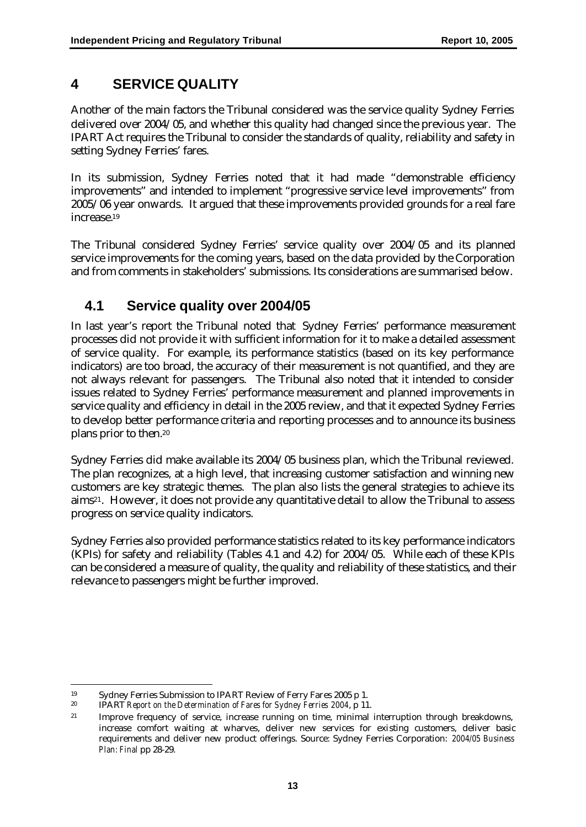## **4 SERVICE QUALITY**

Another of the main factors the Tribunal considered was the service quality Sydney Ferries delivered over 2004/05, and whether this quality had changed since the previous year. The IPART Act requires the Tribunal to consider the standards of quality, reliability and safety in setting Sydney Ferries' fares.

In its submission, Sydney Ferries noted that it had made "demonstrable efficiency improvements" and intended to implement "progressive service level improvements" from 2005/06 year onwards. It argued that these improvements provided grounds for a real fare increase.<sup>19</sup>

The Tribunal considered Sydney Ferries' service quality over 2004/05 and its planned service improvements for the coming years, based on the data provided by the Corporation and from comments in stakeholders' submissions. Its considerations are summarised below.

# **4.1 Service quality over 2004/05**

In last year's report the Tribunal noted that Sydney Ferries' performance measurement processes did not provide it with sufficient information for it to make a detailed assessment of service quality. For example, its performance statistics (based on its key performance indicators) are too broad, the accuracy of their measurement is not quantified, and they are not always relevant for passengers. The Tribunal also noted that it intended to consider issues related to Sydney Ferries' performance measurement and planned improvements in service quality and efficiency in detail in the 2005 review, and that it expected Sydney Ferries to develop better performance criteria and reporting processes and to announce its business plans prior to then.<sup>20</sup>

Sydney Ferries did make available its 2004/05 business plan, which the Tribunal reviewed. The plan recognizes, at a high level, that increasing customer satisfaction and winning new customers are key strategic themes. The plan also lists the general strategies to achieve its aims21. However, it does not provide any quantitative detail to allow the Tribunal to assess progress on service quality indicators.

Sydney Ferries also provided performance statistics related to its key performance indicators (KPIs) for safety and reliability (Tables 4.1 and 4.2) for 2004/05. While each of these KPIs can be considered a measure of quality, the quality and reliability of these statistics, and their relevance to passengers might be further improved.

 $\overline{a}$ <sup>19</sup> Sydney Ferries Submission to IPART Review of Ferry Fares 2005 p 1.<br><sup>20</sup> IPAPT Penert on the Determination of Fares for Sydney Ferries 2004 p 11

<sup>20</sup> IPART *Report on the Determination of Fares for Sydney Ferries 2004*, p 11.

<sup>&</sup>lt;sup>21</sup> Improve frequency of service, increase running on time, minimal interruption through breakdowns, increase comfort waiting at wharves, deliver new services for existing customers, deliver basic requirements and deliver new product offerings. Source: Sydney Ferries Corporation: *2004/05 Business Plan: Final* pp 28-29.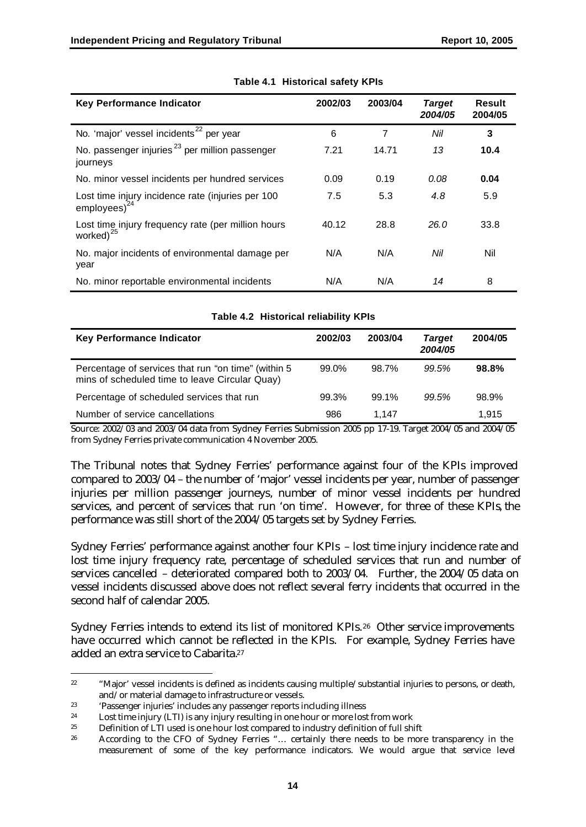| <b>Key Performance Indicator</b>                                            | 2002/03 | 2003/04 | <b>Target</b><br>2004/05 | <b>Result</b><br>2004/05 |
|-----------------------------------------------------------------------------|---------|---------|--------------------------|--------------------------|
| No. 'major' vessel incidents <sup>22</sup> per year                         | 6       | 7       | Nil                      | 3                        |
| No. passenger injuries <sup>23</sup> per million passenger<br>journeys      | 7.21    | 14.71   | 13                       | 10.4                     |
| No. minor vessel incidents per hundred services                             | 0.09    | 0.19    | 0.08                     | 0.04                     |
| Lost time injury incidence rate (injuries per 100<br>$employes)^{24}$       | 7.5     | 5.3     | 4.8                      | 5.9                      |
| Lost time injury frequency rate (per million hours<br>worked) <sup>25</sup> | 40.12   | 28.8    | 26.0                     | 33.8                     |
| No. major incidents of environmental damage per<br>year                     | N/A     | N/A     | Nil                      | Nil                      |
| No. minor reportable environmental incidents                                | N/A     | N/A     | 14                       | 8                        |

#### **Table 4.1 Historical safety KPIs**

| $1.4010 + 1.211010 + 1.001110 + 1.01100$                                                              |         |         |                          |         |
|-------------------------------------------------------------------------------------------------------|---------|---------|--------------------------|---------|
| <b>Key Performance Indicator</b>                                                                      | 2002/03 | 2003/04 | <b>Target</b><br>2004/05 | 2004/05 |
| Percentage of services that run "on time" (within 5<br>mins of scheduled time to leave Circular Quay) | 99.0%   | 98.7%   | 99.5%                    | 98.8%   |
| Percentage of scheduled services that run                                                             | 99.3%   | 99.1%   | 99.5%                    | 98.9%   |
| Number of service cancellations                                                                       | 986     | 1.147   |                          | 1.915   |

**Table 4.2 Historical reliability KPIs**

Source: 2002/03 and 2003/04 data from Sydney Ferries Submission 2005 pp 17-19. Target 2004/05 and 2004/05 from Sydney Ferries private communication 4 November 2005.

The Tribunal notes that Sydney Ferries' performance against four of the KPIs improved compared to 2003/04 – the number of 'major' vessel incidents per year, number of passenger injuries per million passenger journeys, number of minor vessel incidents per hundred services, and percent of services that run 'on time'. However, for three of these KPIs, the performance was still short of the 2004/05 targets set by Sydney Ferries.

Sydney Ferries' performance against another four KPIs – lost time injury incidence rate and lost time injury frequency rate, percentage of scheduled services that run and number of services cancelled – deteriorated compared both to 2003/04. Further, the 2004/05 data on vessel incidents discussed above does not reflect several ferry incidents that occurred in the second half of calendar 2005.

Sydney Ferries intends to extend its list of monitored KPIs.26 Other service improvements have occurred which cannot be reflected in the KPIs. For example, Sydney Ferries have added an extra service to Cabarita.<sup>27</sup>

 $\overline{a}$ <sup>22</sup> "Major' vessel incidents is defined as incidents causing multiple/substantial injuries to persons, or death, and/or material damage to infrastructure or vessels.

<sup>23</sup> 'Passenger injuries' includes any passenger reports including illness

<sup>&</sup>lt;sup>24</sup> Lost time injury (LTI) is any injury resulting in one hour or more lost from work

<sup>25</sup> Definition of LTI used is one hour lost compared to industry definition of full shift

<sup>26</sup> According to the CFO of Sydney Ferries "… certainly there needs to be more transparency in the measurement of some of the key performance indicators. We would argue that service level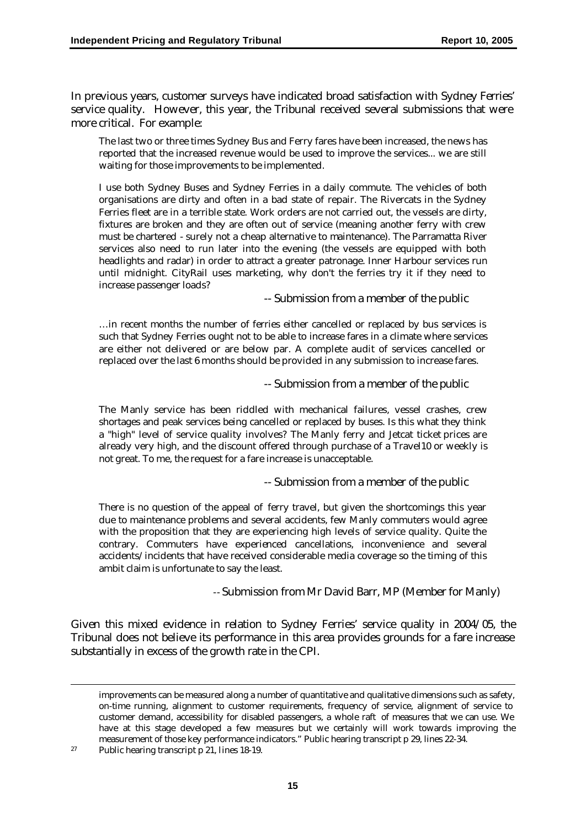In previous years, customer surveys have indicated broad satisfaction with Sydney Ferries' service quality. However, this year, the Tribunal received several submissions that were more critical. For example:

The last two or three times Sydney Bus and Ferry fares have been increased, the news has reported that the increased revenue would be used to improve the services... we are still waiting for those improvements to be implemented.

I use both Sydney Buses and Sydney Ferries in a daily commute. The vehicles of both organisations are dirty and often in a bad state of repair. The Rivercats in the Sydney Ferries fleet are in a terrible state. Work orders are not carried out, the vessels are dirty, fixtures are broken and they are often out of service (meaning another ferry with crew must be chartered - surely not a cheap alternative to maintenance). The Parramatta River services also need to run later into the evening (the vessels are equipped with both headlights and radar) in order to attract a greater patronage. Inner Harbour services run until midnight. CityRail uses marketing, why don't the ferries try it if they need to increase passenger loads?

-- Submission from a member of the public

…in recent months the number of ferries either cancelled or replaced by bus services is such that Sydney Ferries ought not to be able to increase fares in a climate where services are either not delivered or are below par. A complete audit of services cancelled or replaced over the last 6 months should be provided in any submission to increase fares.

-- Submission from a member of the public

The Manly service has been riddled with mechanical failures, vessel crashes, crew shortages and peak services being cancelled or replaced by buses. Is this what they think a "high" level of service quality involves? The Manly ferry and Jetcat ticket prices are already very high, and the discount offered through purchase of a Travel10 or weekly is not great. To me, the request for a fare increase is unacceptable.

-- Submission from a member of the public

There is no question of the appeal of ferry travel, but given the shortcomings this year due to maintenance problems and several accidents, few Manly commuters would agree with the proposition that they are experiencing high levels of service quality. Quite the contrary. Commuters have experienced cancellations, inconvenience and several accidents/incidents that have received considerable media coverage so the timing of this ambit claim is unfortunate to say the least.

-- Submission from Mr David Barr, MP (Member for Manly)

Given this mixed evidence in relation to Sydney Ferries' service quality in 2004/05, the Tribunal does not believe its performance in this area provides grounds for a fare increase substantially in excess of the growth rate in the CPI.

<sup>27</sup> Public hearing transcript p 21, lines 18-19.

 $\overline{a}$ 

improvements can be measured along a number of quantitative and qualitative dimensions such as safety, on-time running, alignment to customer requirements, frequency of service, alignment of service to customer demand, accessibility for disabled passengers, a whole raft of measures that we can use. We have at this stage developed a few measures but we certainly will work towards improving the measurement of those key performance indicators." Public hearing transcript p 29, lines 22-34.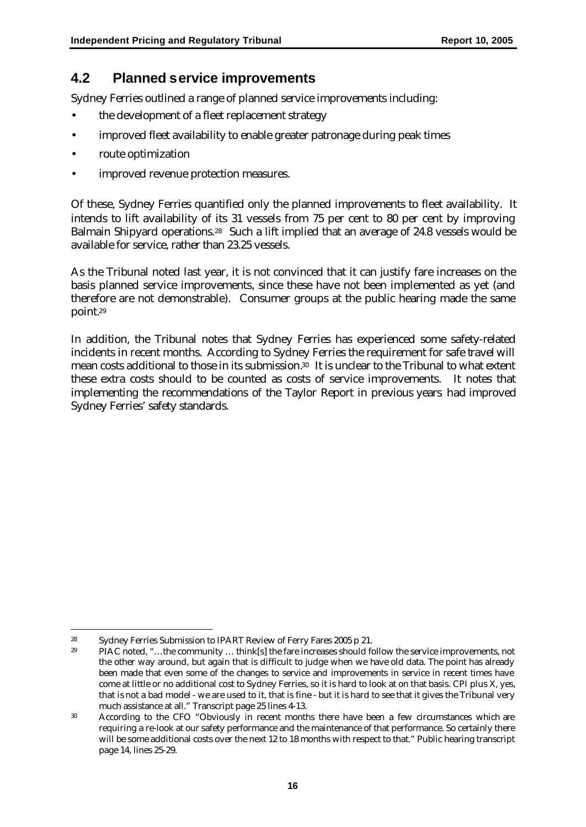## **4.2 Planned service improvements**

Sydney Ferries outlined a range of planned service improvements including:

- the development of a fleet replacement strategy
- improved fleet availability to enable greater patronage during peak times
- route optimization
- improved revenue protection measures.

Of these, Sydney Ferries quantified only the planned improvements to fleet availability. It intends to lift availability of its 31 vessels from 75 per cent to 80 per cent by improving Balmain Shipyard operations.<sup>28</sup> Such a lift implied that an average of 24.8 vessels would be available for service, rather than 23.25 vessels.

As the Tribunal noted last year, it is not convinced that it can justify fare increases on the basis planned service improvements, since these have not been implemented as yet (and therefore are not demonstrable). Consumer groups at the public hearing made the same point.<sup>29</sup>

In addition, the Tribunal notes that Sydney Ferries has experienced some safety-related incidents in recent months. According to Sydney Ferries the requirement for safe travel will mean costs additional to those in its submission.<sup>30</sup> It is unclear to the Tribunal to what extent these extra costs should to be counted as costs of service improvements. It notes that implementing the recommendations of the Taylor Report in previous years had improved Sydney Ferries' safety standards.

 $\overline{a}$ <sup>28</sup> Sydney Ferries Submission to IPART Review of Ferry Fares 2005 p 21.

<sup>29</sup> PIAC noted, "…the community … think[s] the fare increases should follow the service improvements, not the other way around, but again that is difficult to judge when we have old data. The point has already been made that even some of the changes to service and improvements in service in recent times have come at little or no additional cost to Sydney Ferries, so it is hard to look at on that basis. CPI plus X, yes, that is not a bad model - we are used to it, that is fine - but it is hard to see that it gives the Tribunal very much assistance at all." Transcript page 25 lines 4-13.

<sup>&</sup>lt;sup>30</sup> According to the CFO "Obviously in recent months there have been a few circumstances which are requiring a re-look at our safety performance and the maintenance of that performance. So certainly there will be some additional costs over the next 12 to 18 months with respect to that." Public hearing transcript page 14, lines 25-29.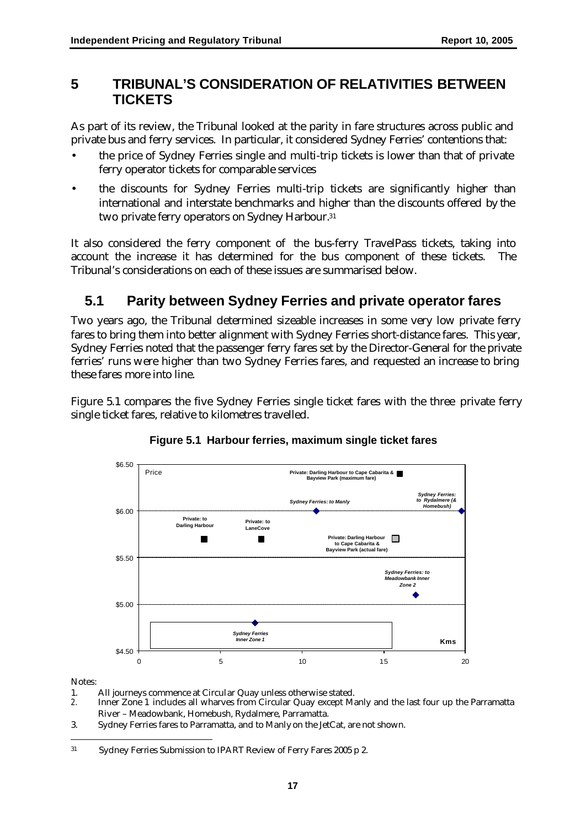## **5 TRIBUNAL'S CONSIDERATION OF RELATIVITIES BETWEEN TICKETS**

As part of its review, the Tribunal looked at the parity in fare structures across public and private bus and ferry services. In particular, it considered Sydney Ferries' contentions that:

- the price of Sydney Ferries single and multi-trip tickets is lower than that of private ferry operator tickets for comparable services
- the discounts for Sydney Ferries multi-trip tickets are significantly higher than international and interstate benchmarks and higher than the discounts offered by the two private ferry operators on Sydney Harbour. 31

It also considered the ferry component of the bus-ferry TravelPass tickets, taking into account the increase it has determined for the bus component of these tickets. The Tribunal's considerations on each of these issues are summarised below.

# **5.1 Parity between Sydney Ferries and private operator fares**

Two years ago, the Tribunal determined sizeable increases in some very low private ferry fares to bring them into better alignment with Sydney Ferries short-distance fares. This year, Sydney Ferries noted that the passenger ferry fares set by the Director-General for the private ferries' runs were higher than two Sydney Ferries fares, and requested an increase to bring these fares more into line.

Figure 5.1 compares the five Sydney Ferries single ticket fares with the three private ferry single ticket fares, relative to kilometres travelled.



#### **Figure 5.1 Harbour ferries, maximum single ticket fares**

Notes:

- 1. All journeys commence at Circular Quay unless otherwise stated.<br>
2. Inner Zone 1 includes all wharves from Circular Quay except M:
- *2.* Inner Zone 1 includes all wharves from Circular Quay except Manly and the last four up the Parramatta River – Meadowbank, Homebush, Rydalmere, Parramatta.
- 3. Sydney Ferries fares to Parramatta, and to Manly on the JetCat, are not shown.

 $\overline{a}$ <sup>31</sup> Sydney Ferries Submission to IPART Review of Ferry Fares 2005 p 2.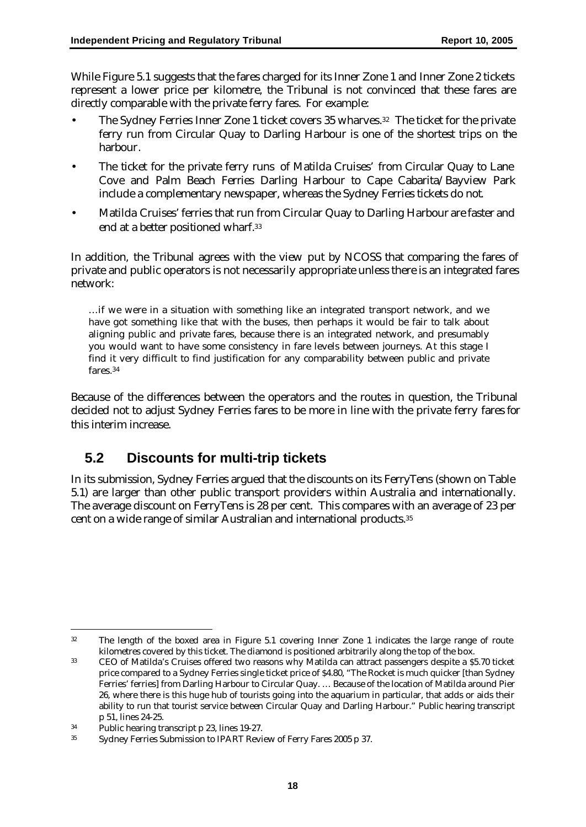While Figure 5.1 suggests that the fares charged for its Inner Zone 1 and Inner Zone 2 tickets represent a lower price per kilometre, the Tribunal is not convinced that these fares are directly comparable with the private ferry fares. For example:

- The Sydney Ferries Inner Zone 1 ticket covers 35 wharves.<sup>32</sup> The ticket for the private ferry run from Circular Quay to Darling Harbour is one of the shortest trips on the harbour.
- The ticket for the private ferry runs of Matilda Cruises' from Circular Quay to Lane Cove and Palm Beach Ferries Darling Harbour to Cape Cabarita/Bayview Park include a complementary newspaper, whereas the Sydney Ferries tickets do not.
- Matilda Cruises' ferries that run from Circular Quay to Darling Harbour are faster and end at a better positioned wharf.<sup>33</sup>

In addition, the Tribunal agrees with the view put by NCOSS that comparing the fares of private and public operators is not necessarily appropriate unless there is an integrated fares network:

…if we were in a situation with something like an integrated transport network, and we have got something like that with the buses, then perhaps it would be fair to talk about aligning public and private fares, because there is an integrated network, and presumably you would want to have some consistency in fare levels between journeys. At this stage I find it very difficult to find justification for any comparability between public and private fares.<sup>34</sup>

Because of the differences between the operators and the routes in question, the Tribunal decided not to adjust Sydney Ferries fares to be more in line with the private ferry fares for this interim increase.

## **5.2 Discounts for multi-trip tickets**

In its submission, Sydney Ferries argued that the discounts on its FerryTens (shown on Table 5.1) are larger than other public transport providers within Australia and internationally. The average discount on FerryTens is 28 per cent. This compares with an average of 23 per cent on a wide range of similar Australian and international products.<sup>35</sup>

 $\overline{a}$ 

<sup>32</sup> The length of the boxed area in Figure 5.1 covering Inner Zone 1 indicates the large range of route kilometres covered by this ticket. The diamond is positioned arbitrarily along the top of the box.

<sup>33</sup> CEO of Matilda's Cruises offered two reasons why Matilda can attract passengers despite a \$5.70 ticket price compared to a Sydney Ferries single ticket price of \$4.80, "The Rocket is much quicker [than Sydney Ferries' ferries] from Darling Harbour to Circular Quay. … Because of the location of Matilda around Pier 26, where there is this huge hub of tourists going into the aquarium in particular, that adds or aids their ability to run that tourist service between Circular Quay and Darling Harbour." Public hearing transcript p 51, lines 24-25.

<sup>34</sup> Public hearing transcript p 23, lines 19-27.

<sup>35</sup> Sydney Ferries Submission to IPART Review of Ferry Fares 2005 p 37.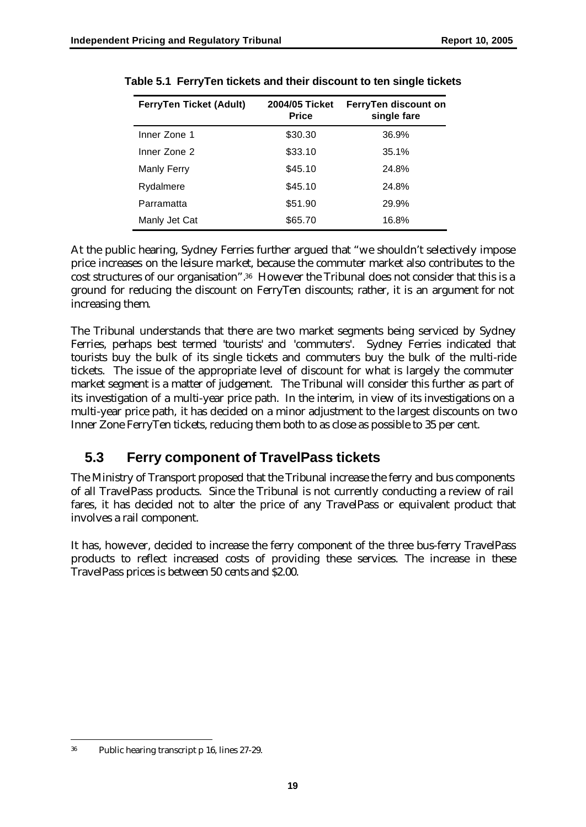| FerryTen Ticket (Adult) | 2004/05 Ticket<br><b>Price</b> | FerryTen discount on<br>single fare |
|-------------------------|--------------------------------|-------------------------------------|
| Inner Zone 1            | \$30.30                        | 36.9%                               |
| Inner Zone 2            | \$33.10                        | 35.1%                               |
| Manly Ferry             | \$45.10                        | 24.8%                               |
| Rydalmere               | \$45.10                        | 24.8%                               |
| Parramatta              | \$51.90                        | 29.9%                               |
| Manly Jet Cat           | \$65.70                        | 16.8%                               |

**Table 5.1 FerryTen tickets and their discount to ten single tickets**

At the public hearing, Sydney Ferries further argued that "we shouldn't selectively impose price increases on the leisure market, because the commuter market also contributes to the cost structures of our organisation".36 However the Tribunal does not consider that this is a ground for reducing the discount on FerryTen discounts; rather, it is an argument for not increasing them.

The Tribunal understands that there are two market segments being serviced by Sydney Ferries, perhaps best termed 'tourists' and 'commuters'. Sydney Ferries indicated that tourists buy the bulk of its single tickets and commuters buy the bulk of the multi-ride tickets. The issue of the appropriate level of discount for what is largely the commuter market segment is a matter of judgement. The Tribunal will consider this further as part of its investigation of a multi-year price path. In the interim, in view of its investigations on a multi-year price path, it has decided on a minor adjustment to the largest discounts on two Inner Zone FerryTen tickets, reducing them both to as close as possible to 35 per cent.

## **5.3 Ferry component of TravelPass tickets**

The Ministry of Transport proposed that the Tribunal increase the ferry and bus components of all TravelPass products. Since the Tribunal is not currently conducting a review of rail fares, it has decided not to alter the price of any TravelPass or equivalent product that involves a rail component.

It has, however, decided to increase the ferry component of the three bus-ferry TravelPass products to reflect increased costs of providing these services. The increase in these TravelPass prices is between 50 cents and \$2.00.

 $\overline{a}$ <sup>36</sup> Public hearing transcript p 16, lines 27-29.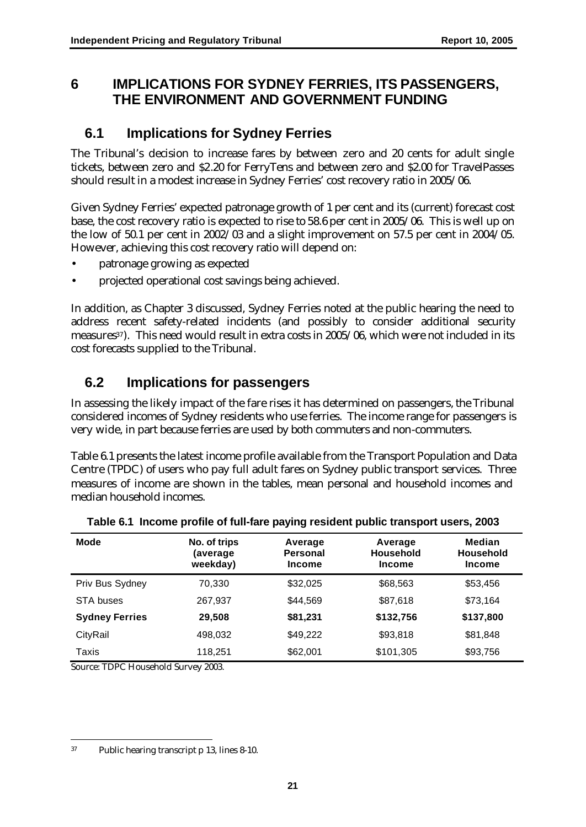## **6 IMPLICATIONS FOR SYDNEY FERRIES, ITS PASSENGERS, THE ENVIRONMENT AND GOVERNMENT FUNDING**

## **6.1 Implications for Sydney Ferries**

The Tribunal's decision to increase fares by between zero and 20 cents for adult single tickets, between zero and \$2.20 for FerryTens and between zero and \$2.00 for TravelPasses should result in a modest increase in Sydney Ferries' cost recovery ratio in 2005/06.

Given Sydney Ferries' expected patronage growth of 1 per cent and its (current) forecast cost base, the cost recovery ratio is expected to rise to 58.6 per cent in 2005/06. This is well up on the low of 50.1 per cent in 2002/03 and a slight improvement on 57.5 per cent in 2004/05. However, achieving this cost recovery ratio will depend on:

- patronage growing as expected
- projected operational cost savings being achieved.

In addition, as Chapter 3 discussed, Sydney Ferries noted at the public hearing the need to address recent safety-related incidents (and possibly to consider additional security measures<sup>37</sup>). This need would result in extra costs in 2005/06, which were not included in its cost forecasts supplied to the Tribunal.

# **6.2 Implications for passengers**

In assessing the likely impact of the fare rises it has determined on passengers, the Tribunal considered incomes of Sydney residents who use ferries. The income range for passengers is very wide, in part because ferries are used by both commuters and non-commuters.

Table 6.1 presents the latest income profile available from the Transport Population and Data Centre (TPDC) of users who pay full adult fares on Sydney public transport services. Three measures of income are shown in the tables, mean personal and household incomes and median household incomes.

| <b>Mode</b>           | No. of trips<br>(average<br>weekday) | Average<br><b>Personal</b><br><b>Income</b> | Average<br><b>Household</b><br><b>Income</b> | <b>Median</b><br><b>Household</b><br><b>Income</b> |
|-----------------------|--------------------------------------|---------------------------------------------|----------------------------------------------|----------------------------------------------------|
| Priv Bus Sydney       | 70,330                               | \$32,025                                    | \$68,563                                     | \$53,456                                           |
| STA buses             | 267,937                              | \$44.569                                    | \$87,618                                     | \$73,164                                           |
| <b>Sydney Ferries</b> | 29,508                               | \$81,231                                    | \$132,756                                    | \$137,800                                          |
| CityRail              | 498,032                              | \$49,222                                    | \$93,818                                     | \$81,848                                           |
| Taxis                 | 118,251                              | \$62,001                                    | \$101,305                                    | \$93,756                                           |

**Table 6.1 Income profile of full-fare paying resident public transport users, 2003**

Source: TDPC Household Survey 2003.

 $\overline{a}$ <sup>37</sup> Public hearing transcript p 13, lines 8-10.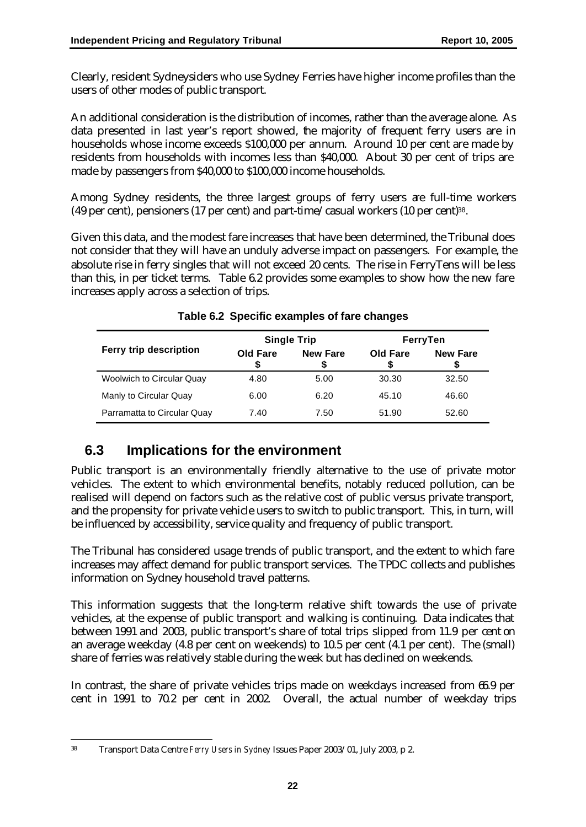Clearly, resident Sydneysiders who use Sydney Ferries have higher income profiles than the users of other modes of public transport.

An additional consideration is the distribution of incomes, rather than the average alone. As data presented in last year's report showed, the majority of frequent ferry users are in households whose income exceeds \$100,000 per annum. Around 10 per cent are made by residents from households with incomes less than \$40,000. About 30 per cent of trips are made by passengers from \$40,000 to \$100,000 income households.

Among Sydney residents, the three largest groups of ferry users are full-time workers (49 per cent), pensioners (17 per cent) and part-time/casual workers (10 per cent)38.

Given this data, and the modest fare increases that have been determined, the Tribunal does not consider that they will have an unduly adverse impact on passengers. For example, the absolute rise in ferry singles that will not exceed 20 cents. The rise in FerryTens will be less than this, in per ticket terms. Table 6.2 provides some examples to show how the new fare increases apply across a selection of trips.

|                                  |          | <b>Single Trip</b> | FerryTen |                 |  |
|----------------------------------|----------|--------------------|----------|-----------------|--|
| Ferry trip description           | Old Fare | <b>New Fare</b>    | Old Fare | <b>New Fare</b> |  |
| <b>Woolwich to Circular Quay</b> | 4.80     | 5.00               | 30.30    | 32.50           |  |
| Manly to Circular Quay           | 6.00     | 6.20               | 45.10    | 46.60           |  |
| Parramatta to Circular Quay      | 7.40     | 7.50               | 51.90    | 52.60           |  |

#### **Table 6.2 Specific examples of fare changes**

## **6.3 Implications for the environment**

Public transport is an environmentally friendly alternative to the use of private motor vehicles. The extent to which environmental benefits, notably reduced pollution, can be realised will depend on factors such as the relative cost of public versus private transport, and the propensity for private vehicle users to switch to public transport. This, in turn, will be influenced by accessibility, service quality and frequency of public transport.

The Tribunal has considered usage trends of public transport, and the extent to which fare increases may affect demand for public transport services. The TPDC collects and publishes information on Sydney household travel patterns.

This information suggests that the long-term relative shift towards the use of private vehicles, at the expense of public transport and walking is continuing. Data indicates that between 1991 and 2003, public transport's share of total trips slipped from 11.9 per cent on an average weekday (4.8 per cent on weekends) to 10.5 per cent (4.1 per cent). The (small) share of ferries was relatively stable during the week but has declined on weekends.

In contrast, the share of private vehicles trips made on weekdays increased from 66.9 per cent in 1991 to 70.2 per cent in 2002. Overall, the actual number of weekday trips

<sup>38</sup> <sup>38</sup> Transport Data Centre *Ferry Users in Sydney* Issues Paper 2003/01, July 2003, p 2.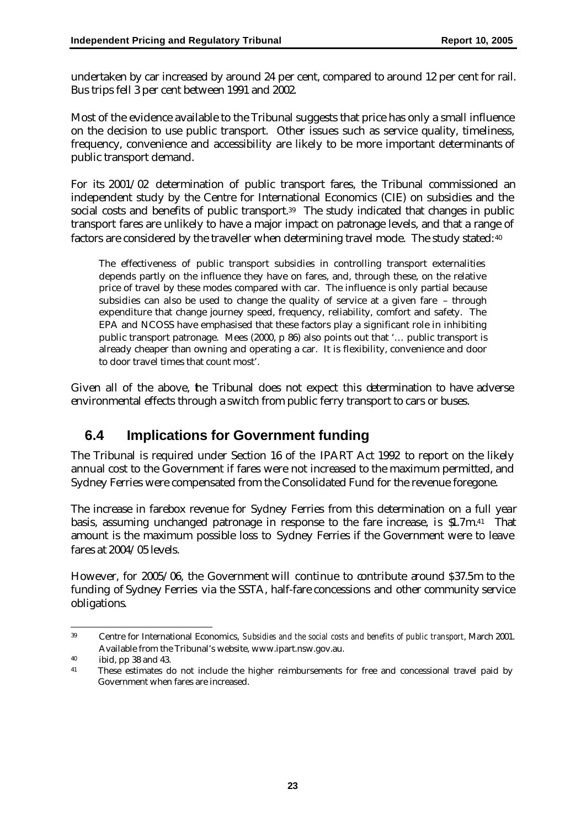undertaken by car increased by around 24 per cent, compared to around 12 per cent for rail. Bus trips fell 3 per cent between 1991 and 2002.

Most of the evidence available to the Tribunal suggests that price has only a small influence on the decision to use public transport. Other issues such as service quality, timeliness, frequency, convenience and accessibility are likely to be more important determinants of public transport demand.

For its 2001/02 determination of public transport fares, the Tribunal commissioned an independent study by the Centre for International Economics (CIE) on subsidies and the social costs and benefits of public transport.<sup>39</sup> The study indicated that changes in public transport fares are unlikely to have a major impact on patronage levels, and that a range of factors are considered by the traveller when determining travel mode. The study stated: 40

The effectiveness of public transport subsidies in controlling transport externalities depends partly on the influence they have on fares, and, through these, on the relative price of travel by these modes compared with car. The influence is only partial because subsidies can also be used to change the quality of service at a given fare – through expenditure that change journey speed, frequency, reliability, comfort and safety. The EPA and NCOSS have emphasised that these factors play a significant role in inhibiting public transport patronage. Mees (2000, p 86) also points out that '… public transport is already cheaper than owning and operating a car. It is flexibility, convenience and door to door travel times that count most'.

Given all of the above, he Tribunal does not expect this determination to have adverse environmental effects through a switch from public ferry transport to cars or buses.

## **6.4 Implications for Government funding**

The Tribunal is required under Section 16 of the IPART Act 1992 to report on the likely annual cost to the Government if fares were not increased to the maximum permitted, and Sydney Ferries were compensated from the Consolidated Fund for the revenue foregone.

The increase in farebox revenue for Sydney Ferries from this determination on a full year basis, assuming unchanged patronage in response to the fare increase, is \$1.7m. <sup>41</sup> That amount is the maximum possible loss to Sydney Ferries if the Government were to leave fares at 2004/05 levels.

However, for 2005/06, the Government will continue to contribute around \$37.5m to the funding of Sydney Ferries via the SSTA, half-fare concessions and other community service obligations.

 $\overline{a}$ <sup>39</sup> Centre for International Economics, *Subsidies and the social costs and benefits of public transport*, March 2001. Available from the Tribunal's website, www.ipart.nsw.gov.au.

<sup>40</sup> ibid, pp 38 and 43.

<sup>&</sup>lt;sup>41</sup> These estimates do not include the higher reimbursements for free and concessional travel paid by Government when fares are increased.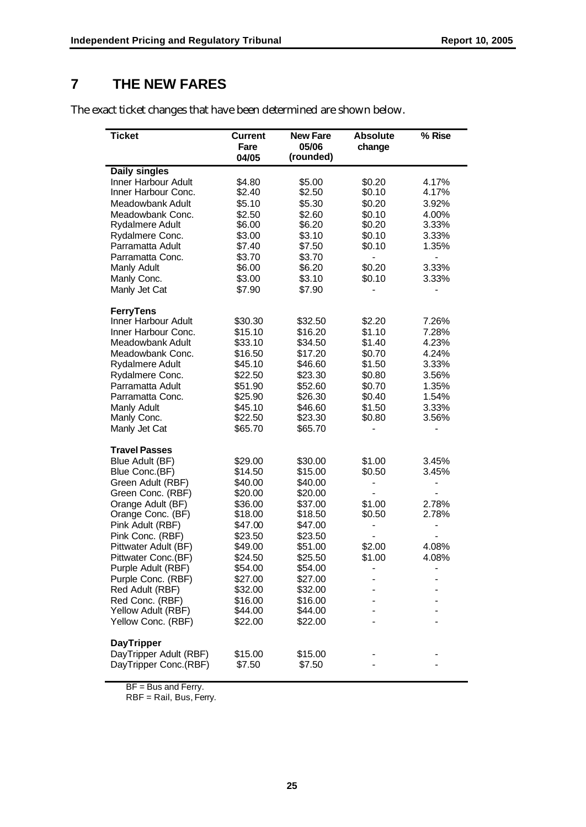# **7 THE NEW FARES**

The exact ticket changes that have been determined are shown below.

| Ticket                     | <b>Current</b> | <b>New Fare</b> | <b>Absolute</b> | % Rise |
|----------------------------|----------------|-----------------|-----------------|--------|
|                            | Fare           | 05/06           | change          |        |
|                            | 04/05          | (rounded)       |                 |        |
| <b>Daily singles</b>       |                |                 |                 |        |
| <b>Inner Harbour Adult</b> | \$4.80         | \$5.00          | \$0.20          | 4.17%  |
| Inner Harbour Conc.        | \$2.40         | \$2.50          | \$0.10          | 4.17%  |
| Meadowbank Adult           | \$5.10         | \$5.30          | \$0.20          | 3.92%  |
| Meadowbank Conc.           | \$2.50         | \$2.60          | \$0.10          | 4.00%  |
| <b>Rydalmere Adult</b>     | \$6.00         | \$6.20          | \$0.20          | 3.33%  |
| Rydalmere Conc.            | \$3.00         | \$3.10          | \$0.10          | 3.33%  |
| Parramatta Adult           | \$7.40         | \$7.50          | \$0.10          | 1.35%  |
| Parramatta Conc.           | \$3.70         | \$3.70          |                 | ÷,     |
| Manly Adult                | \$6.00         | \$6.20          | \$0.20          | 3.33%  |
| Manly Conc.                | \$3.00         | \$3.10          | \$0.10          | 3.33%  |
| Manly Jet Cat              | \$7.90         | \$7.90          |                 |        |
| <b>FerryTens</b>           |                |                 |                 |        |
| Inner Harbour Adult        | \$30.30        | \$32.50         | \$2.20          | 7.26%  |
| Inner Harbour Conc.        | \$15.10        | \$16.20         | \$1.10          | 7.28%  |
| Meadowbank Adult           | \$33.10        | \$34.50         | \$1.40          | 4.23%  |
| Meadowbank Conc.           | \$16.50        | \$17.20         | \$0.70          | 4.24%  |
| Rydalmere Adult            | \$45.10        | \$46.60         | \$1.50          | 3.33%  |
| Rydalmere Conc.            | \$22.50        | \$23.30         | \$0.80          | 3.56%  |
| Parramatta Adult           | \$51.90        | \$52.60         | \$0.70          | 1.35%  |
| Parramatta Conc.           | \$25.90        | \$26.30         | \$0.40          | 1.54%  |
| Manly Adult                | \$45.10        | \$46.60         | \$1.50          | 3.33%  |
| Manly Conc.                | \$22.50        | \$23.30         | \$0.80          | 3.56%  |
| Manly Jet Cat              | \$65.70        | \$65.70         |                 |        |
| <b>Travel Passes</b>       |                |                 |                 |        |
| Blue Adult (BF)            | \$29.00        | \$30.00         | \$1.00          | 3.45%  |
| Blue Conc.(BF)             | \$14.50        | \$15.00         | \$0.50          | 3.45%  |
| Green Adult (RBF)          | \$40.00        | \$40.00         |                 |        |
| Green Conc. (RBF)          | \$20.00        | \$20.00         |                 |        |
| Orange Adult (BF)          | \$36.00        | \$37.00         | \$1.00          | 2.78%  |
| Orange Conc. (BF)          | \$18.00        | \$18.50         | \$0.50          | 2.78%  |
| Pink Adult (RBF)           | \$47.00        | \$47.00         |                 |        |
| Pink Conc. (RBF)           | \$23.50        | \$23.50         |                 |        |
| Pittwater Adult (BF)       | \$49.00        | \$51.00         | \$2.00          | 4.08%  |
| Pittwater Conc.(BF)        | \$24.50        | \$25.50         | \$1.00          | 4.08%  |
| Purple Adult (RBF)         | \$54.00        | \$54.00         |                 |        |
| Purple Conc. (RBF)         | \$27.00        | \$27.00         |                 |        |
| Red Adult (RBF)            | \$32.00        | \$32.00         |                 |        |
| Red Conc. (RBF)            | \$16.00        | \$16.00         |                 |        |
| Yellow Adult (RBF)         | \$44.00        | \$44.00         |                 |        |
| Yellow Conc. (RBF)         | \$22.00        | \$22.00         |                 |        |
| <b>DayTripper</b>          |                |                 |                 |        |
| DayTripper Adult (RBF)     | \$15.00        | \$15.00         |                 |        |
| DayTripper Conc.(RBF)      | \$7.50         | \$7.50          |                 |        |
|                            |                |                 |                 |        |

BF = Bus and Ferry.

RBF = Rail, Bus, Ferry.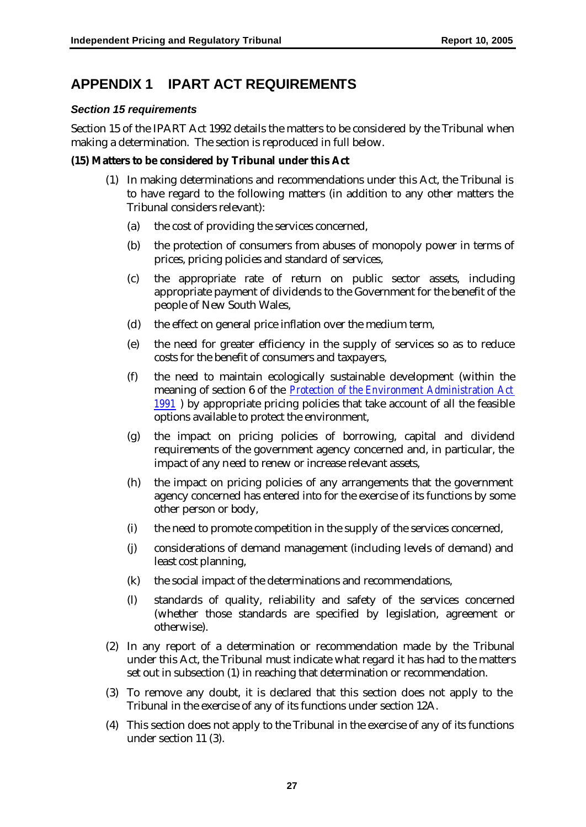# **APPENDIX 1 IPART ACT REQUIREMENTS**

#### *Section 15 requirements*

Section 15 of the IPART Act 1992 details the matters to be considered by the Tribunal when making a determination. The section is reproduced in full below.

#### **(15) Matters to be considered by Tribunal under this Act**

- (1) In making determinations and recommendations under this Act, the Tribunal is to have regard to the following matters (in addition to any other matters the Tribunal considers relevant):
	- (a) the cost of providing the services concerned,
	- (b) the protection of consumers from abuses of monopoly power in terms of prices, pricing policies and standard of services,
	- (c) the appropriate rate of return on public sector assets, including appropriate payment of dividends to the Government for the benefit of the people of New South Wales,
	- (d) the effect on general price inflation over the medium term,
	- (e) the need for greater efficiency in the supply of services so as to reduce costs for the benefit of consumers and taxpayers,
	- (f) the need to maintain ecologically sustainable development (within the meaning of section 6 of the *Protection of the Environment Administration Act 1991* ) by appropriate pricing policies that take account of all the feasible options available to protect the environment,
	- (g) the impact on pricing policies of borrowing, capital and dividend requirements of the government agency concerned and, in particular, the impact of any need to renew or increase relevant assets,
	- (h) the impact on pricing policies of any arrangements that the government agency concerned has entered into for the exercise of its functions by some other person or body,
	- (i) the need to promote competition in the supply of the services concerned,
	- (j) considerations of demand management (including levels of demand) and least cost planning,
	- (k) the social impact of the determinations and recommendations,
	- (l) standards of quality, reliability and safety of the services concerned (whether those standards are specified by legislation, agreement or otherwise).
- (2) In any report of a determination or recommendation made by the Tribunal under this Act, the Tribunal must indicate what regard it has had to the matters set out in subsection (1) in reaching that determination or recommendation.
- (3) To remove any doubt, it is declared that this section does not apply to the Tribunal in the exercise of any of its functions under section 12A.
- (4) This section does not apply to the Tribunal in the exercise of any of its functions under section 11 (3).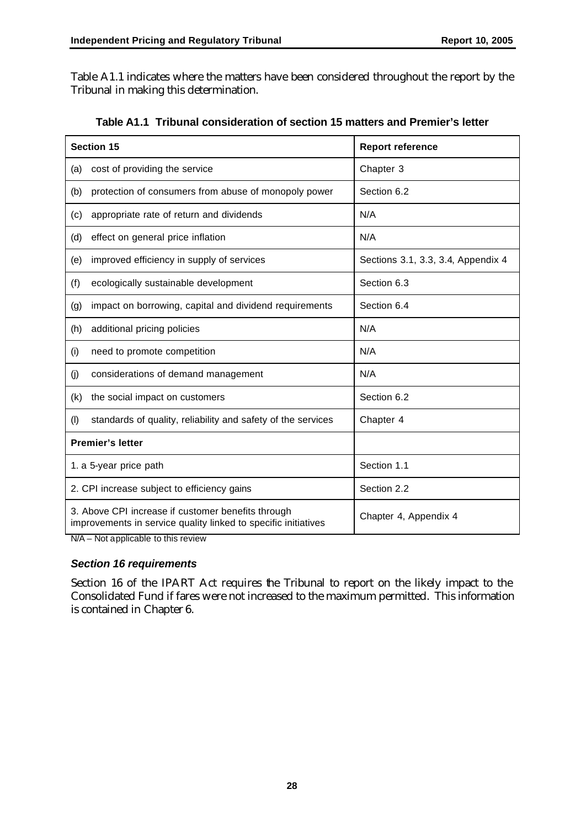Table A1.1 indicates where the matters have been considered throughout the report by the Tribunal in making this determination.

|                                             | <b>Section 15</b>                                                                                                    | <b>Report reference</b>            |
|---------------------------------------------|----------------------------------------------------------------------------------------------------------------------|------------------------------------|
| (a)                                         | cost of providing the service                                                                                        | Chapter 3                          |
| (b)                                         | protection of consumers from abuse of monopoly power                                                                 | Section 6.2                        |
| (c)                                         | appropriate rate of return and dividends                                                                             | N/A                                |
| (d)                                         | effect on general price inflation                                                                                    | N/A                                |
| (e)                                         | improved efficiency in supply of services                                                                            | Sections 3.1, 3.3, 3.4, Appendix 4 |
| (f)                                         | ecologically sustainable development                                                                                 | Section 6.3                        |
| (g)                                         | impact on borrowing, capital and dividend requirements                                                               | Section 6.4                        |
| (h)                                         | additional pricing policies                                                                                          | N/A                                |
| (i)                                         | need to promote competition                                                                                          | N/A                                |
| (j)                                         | considerations of demand management                                                                                  | N/A                                |
| (k)                                         | the social impact on customers                                                                                       | Section 6.2                        |
| (1)                                         | standards of quality, reliability and safety of the services                                                         | Chapter 4                          |
| <b>Premier's letter</b>                     |                                                                                                                      |                                    |
| 1. a 5-year price path                      |                                                                                                                      | Section 1.1                        |
| 2. CPI increase subject to efficiency gains |                                                                                                                      | Section 2.2                        |
|                                             | 3. Above CPI increase if customer benefits through<br>improvements in service quality linked to specific initiatives | Chapter 4, Appendix 4              |

**Table A1.1 Tribunal consideration of section 15 matters and Premier's letter** 

N/A – Not applicable to this review

#### *Section 16 requirements*

Section 16 of the IPART Act requires the Tribunal to report on the likely impact to the Consolidated Fund if fares were not increased to the maximum permitted. This information is contained in Chapter 6.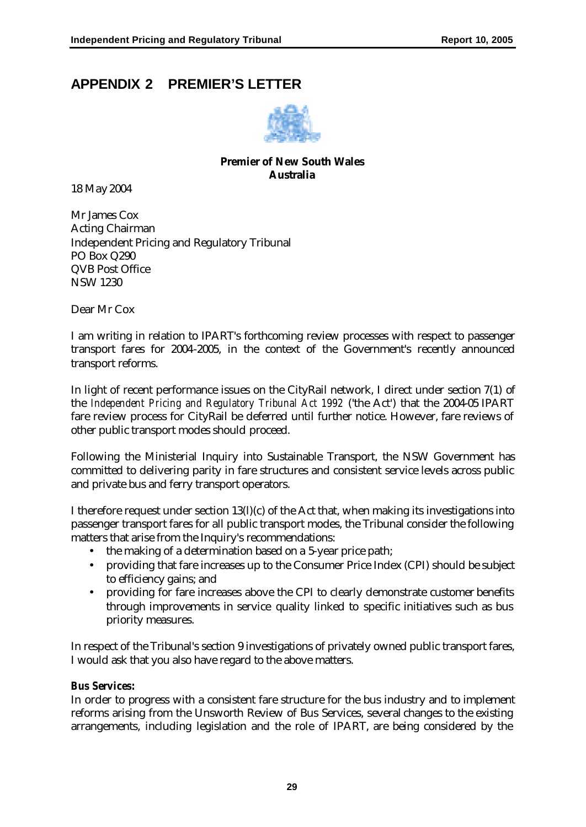# **APPENDIX 2 PREMIER'S LETTER**



#### **Premier of New South Wales Australia**

18 May 2004

Mr James Cox Acting Chairman Independent Pricing and Regulatory Tribunal PO Box Q290 QVB Post Office NSW 1230

Dear Mr Cox

I am writing in relation to IPART's forthcoming review processes with respect to passenger transport fares for 2004-2005, in the context of the Government's recently announced transport reforms.

In light of recent performance issues on the CityRail network, I direct under section 7(1) of the *Independent Pricing and Regulatory Tribunal Act 1992* ('the Act') that the 2004-05 IPART fare review process for CityRail be deferred until further notice. However, fare reviews of other public transport modes should proceed.

Following the Ministerial Inquiry into Sustainable Transport, the NSW Government has committed to delivering parity in fare structures and consistent service levels across public and private bus and ferry transport operators.

I therefore request under section 13(l)(c) of the Act that, when making its investigations into passenger transport fares for all public transport modes, the Tribunal consider the following matters that arise from the Inquiry's recommendations:

- the making of a determination based on a 5-year price path;
- providing that fare increases up to the Consumer Price Index (CPI) should be subject to efficiency gains; and
- providing for fare increases above the CPI to clearly demonstrate customer benefits through improvements in service quality linked to specific initiatives such as bus priority measures.

In respect of the Tribunal's section 9 investigations of privately owned public transport fares, I would ask that you also have regard to the above matters.

#### *Bus Services:*

In order to progress with a consistent fare structure for the bus industry and to implement reforms arising from the Unsworth Review of Bus Services, several changes to the existing arrangements, including legislation and the role of IPART, are being considered by the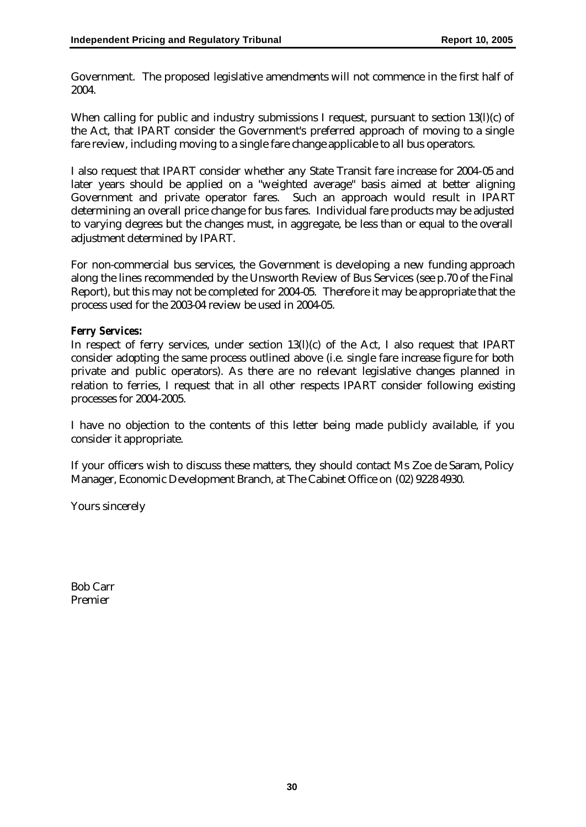Government. The proposed legislative amendments will not commence in the first half of 2004.

When calling for public and industry submissions I request, pursuant to section 13(l)(c) of the Act, that IPART consider the Government's preferred approach of moving to a single fare review, including moving to a single fare change applicable to all bus operators.

I also request that IPART consider whether any State Transit fare increase for 2004-05 and later years should be applied on a "weighted average" basis aimed at better aligning Government and private operator fares. Such an approach would result in IPART determining an overall price change for bus fares. Individual fare products may be adjusted to varying degrees but the changes must, in aggregate, be less than or equal to the overall adjustment determined by IPART.

For non-commercial bus services, the Government is developing a new funding approach along the lines recommended by the Unsworth Review of Bus Services (see p.70 of the Final Report), but this may not be completed for 2004-05. Therefore it may be appropriate that the process used for the 2003-04 review be used in 2004-05.

#### *Ferry Services:*

In respect of ferry services, under section 13(l)(c) of the Act, I also request that IPART consider adopting the same process outlined above (i.e. single fare increase figure for both private and public operators). As there are no relevant legislative changes planned in relation to ferries, I request that in all other respects IPART consider following existing processes for 2004-2005.

I have no objection to the contents of this letter being made publicly available, if you consider it appropriate.

If your officers wish to discuss these matters, they should contact Ms Zoe de Saram, Policy Manager, Economic Development Branch, at The Cabinet Office on (02) 9228 4930.

Yours sincerely

Bob Carr Premier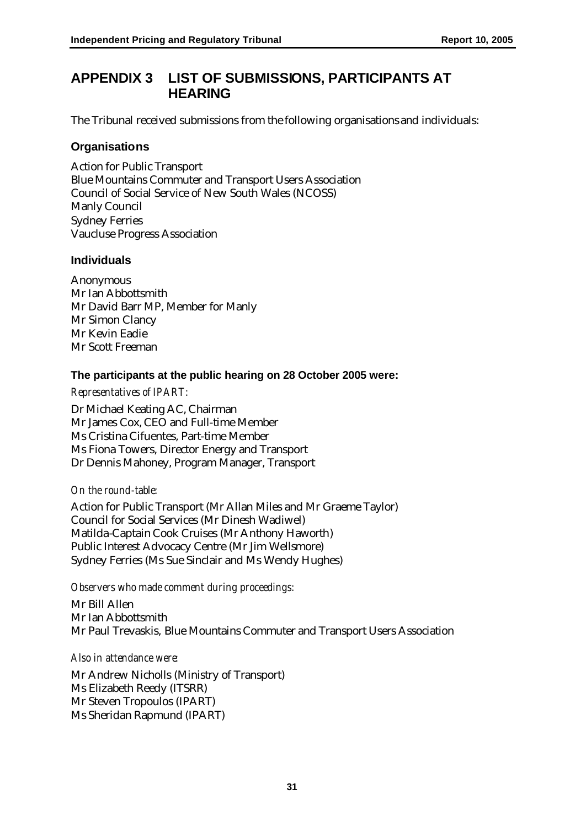## **APPENDIX 3 LIST OF SUBMISSIONS, PARTICIPANTS AT HEARING**

The Tribunal received submissions from the following organisations and individuals:

#### **Organisations**

Action for Public Transport Blue Mountains Commuter and Transport Users Association Council of Social Service of New South Wales (NCOSS) Manly Council Sydney Ferries Vaucluse Progress Association

#### **Individuals**

Anonymous Mr Ian Abbottsmith Mr David Barr MP, Member for Manly Mr Simon Clancy Mr Kevin Eadie Mr Scott Freeman

#### **The participants at the public hearing on 28 October 2005 were:**

#### *Representatives of IPART:*

Dr Michael Keating AC, Chairman Mr James Cox, CEO and Full-time Member Ms Cristina Cifuentes, Part-time Member Ms Fiona Towers, Director Energy and Transport Dr Dennis Mahoney, Program Manager, Transport

#### *On the round-table:*

Action for Public Transport (Mr Allan Miles and Mr Graeme Taylor) Council for Social Services (Mr Dinesh Wadiwel) Matilda-Captain Cook Cruises (Mr Anthony Haworth) Public Interest Advocacy Centre (Mr Jim Wellsmore) Sydney Ferries (Ms Sue Sinclair and Ms Wendy Hughes)

*Observers who made comment during proceedings:*

Mr Bill Allen Mr Ian Abbottsmith Mr Paul Trevaskis, Blue Mountains Commuter and Transport Users Association

#### *Also in attendance were:*

Mr Andrew Nicholls (Ministry of Transport) Ms Elizabeth Reedy (ITSRR) Mr Steven Tropoulos (IPART) Ms Sheridan Rapmund (IPART)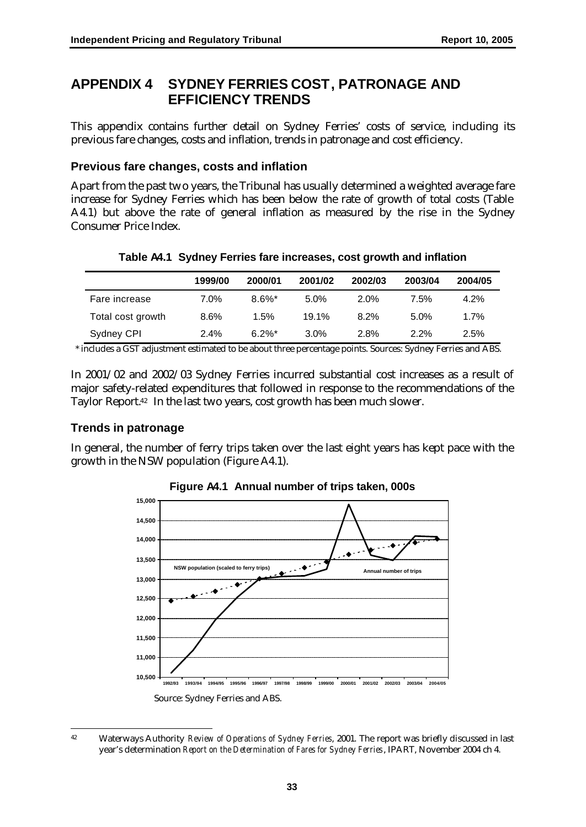## **APPENDIX 4 SYDNEY FERRIES COST, PATRONAGE AND EFFICIENCY TRENDS**

This appendix contains further detail on Sydney Ferries' costs of service, including its previous fare changes, costs and inflation, trends in patronage and cost efficiency.

#### **Previous fare changes, costs and inflation**

Apart from the past two years, the Tribunal has usually determined a weighted average fare increase for Sydney Ferries which has been below the rate of growth of total costs (Table A4.1) but above the rate of general inflation as measured by the rise in the Sydney Consumer Price Index.

|                   | 1999/00 | 2000/01   | 2001/02 | 2002/03 | 2003/04 | 2004/05 |
|-------------------|---------|-----------|---------|---------|---------|---------|
| Fare increase     | $7.0\%$ | $8.6\%$ * | $5.0\%$ | $2.0\%$ | 7.5%    | 4.2%    |
| Total cost growth | 8.6%    | 1.5%      | 19.1%   | 8.2%    | $5.0\%$ | 1.7%    |
| Sydney CPI        | $2.4\%$ | $6.2\%$ * | $3.0\%$ | 2.8%    | $2.2\%$ | 2.5%    |

#### **Table A4.1 Sydney Ferries fare increases, cost growth and inflation**

\* includes a GST adjustment estimated to be about three percentage points. Sources: Sydney Ferries and ABS.

In 2001/02 and 2002/03 Sydney Ferries incurred substantial cost increases as a result of major safety-related expenditures that followed in response to the recommendations of the Taylor Report.<sup>42</sup> In the last two years, cost growth has been much slower.

#### **Trends in patronage**

In general, the number of ferry trips taken over the last eight years has kept pace with the growth in the NSW population (Figure A4.1).



**Figure A4.1 Annual number of trips taken, 000s**

 $42 \overline{ }$ <sup>42</sup> Waterways Authority *Review of Operations of Sydney Ferries*, 2001. The report was briefly discussed in last year's determination *Report on the Determination of Fares for Sydney Ferries*, IPART, November 2004 ch 4.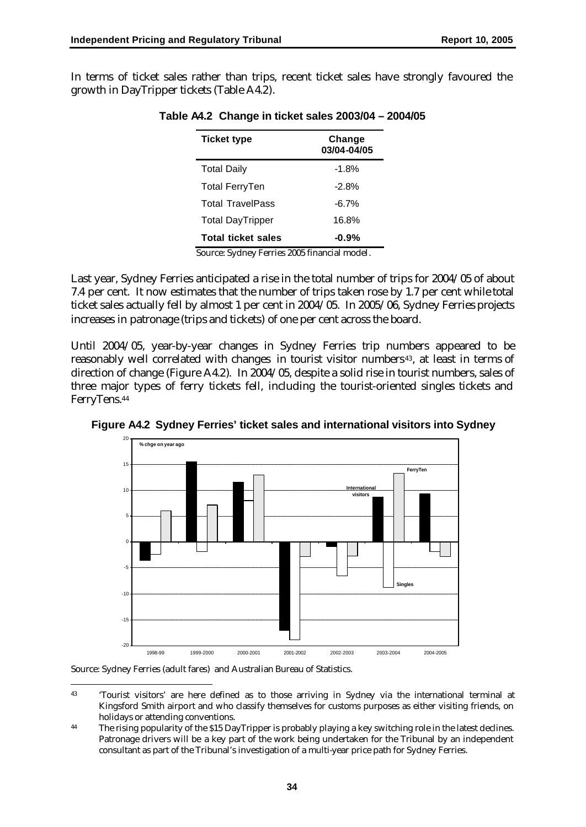In terms of ticket sales rather than trips, recent ticket sales have strongly favoured the growth in DayTripper tickets (Table A4.2).

| <b>Ticket type</b>        | Change<br>03/04-04/05 |
|---------------------------|-----------------------|
| <b>Total Daily</b>        | $-1.8%$               |
| Total FerryTen            | $-2.8%$               |
| <b>Total TravelPass</b>   | $-6.7\%$              |
| <b>Total DayTripper</b>   | 16.8%                 |
| <b>Total ticket sales</b> | -0.9%                 |

**Table A4.2 Change in ticket sales 2003/04 – 2004/05**

Source: Sydney Ferries 2005 financial model.

Last year, Sydney Ferries anticipated a rise in the total number of trips for 2004/05 of about 7.4 per cent. It now estimates that the number of trips taken rose by 1.7 per cent while total ticket sales actually fell by almost 1 per cent in 2004/05. In 2005/06, Sydney Ferries projects increases in patronage (trips and tickets) of one per cent across the board.

Until 2004/05, year-by-year changes in Sydney Ferries trip numbers appeared to be reasonably well correlated with changes in tourist visitor numbers<sup>43</sup>, at least in terms of direction of change (Figure A4.2). In 2004/05, despite a solid rise in tourist numbers, sales of three major types of ferry tickets fell, including the tourist-oriented singles tickets and FerryTens.<sup>44</sup>



**Figure A4.2 Sydney Ferries' ticket sales and international visitors into Sydney**

Source: Sydney Ferries (adult fares) and Australian Bureau of Statistics.

 $\overline{a}$ <sup>43</sup> 'Tourist visitors' are here defined as to those arriving in Sydney via the international terminal at Kingsford Smith airport and who classify themselves for customs purposes as either visiting friends, on holidays or attending conventions.

<sup>&</sup>lt;sup>44</sup> The rising popularity of the \$15 DayTripper is probably playing a key switching role in the latest declines. Patronage drivers will be a key part of the work being undertaken for the Tribunal by an independent consultant as part of the Tribunal's investigation of a multi-year price path for Sydney Ferries.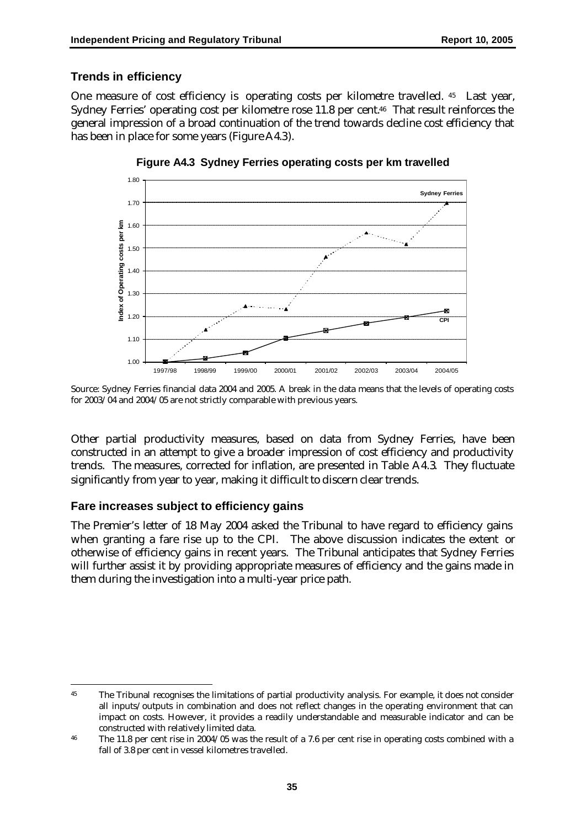#### **Trends in efficiency**

One measure of cost efficiency is operating costs per kilometre travelled. <sup>45</sup> Last year, Sydney Ferries' operating cost per kilometre rose 11.8 per cent.46 That result reinforces the general impression of a broad continuation of the trend towards decline cost efficiency that has been in place for some years (Figure A4.3).



**Figure A4.3 Sydney Ferries operating costs per km travelled**

Other partial productivity measures, based on data from Sydney Ferries, have been constructed in an attempt to give a broader impression of cost efficiency and productivity trends. The measures, corrected for inflation, are presented in Table A4.3. They fluctuate significantly from year to year, making it difficult to discern clear trends.

#### **Fare increases subject to efficiency gains**

 $\overline{a}$ 

The Premier's letter of 18 May 2004 asked the Tribunal to have regard to efficiency gains when granting a fare rise up to the CPI. The above discussion indicates the extent or otherwise of efficiency gains in recent years. The Tribunal anticipates that Sydney Ferries will further assist it by providing appropriate measures of efficiency and the gains made in them during the investigation into a multi-year price path.

Source: Sydney Ferries financial data 2004 and 2005. A break in the data means that the levels of operating costs for 2003/04 and 2004/05 are not strictly comparable with previous years.

<sup>&</sup>lt;sup>45</sup> The Tribunal recognises the limitations of partial productivity analysis. For example, it does not consider all inputs/outputs in combination and does not reflect changes in the operating environment that can impact on costs. However, it provides a readily understandable and measurable indicator and can be constructed with relatively limited data.

<sup>&</sup>lt;sup>46</sup> The 11.8 per cent rise in 2004/05 was the result of a 7.6 per cent rise in operating costs combined with a fall of 3.8 per cent in vessel kilometres travelled.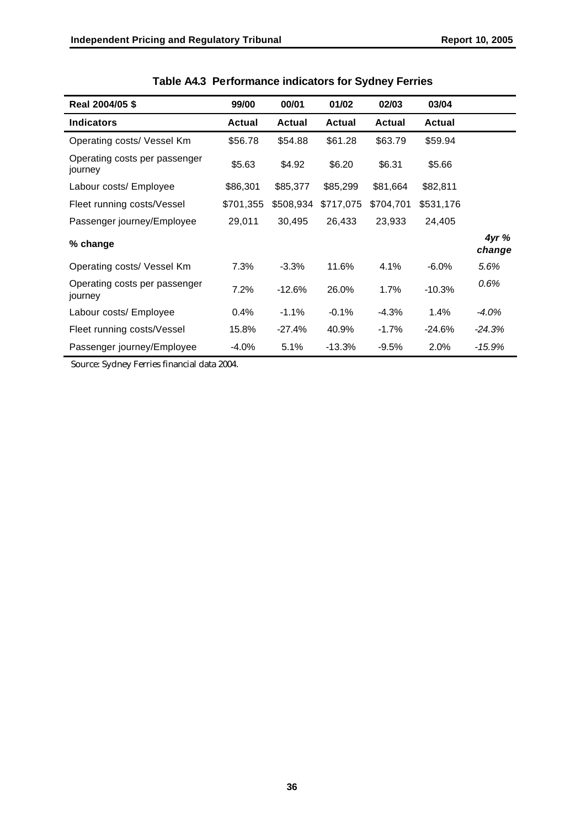| Real 2004/05 \$                          | 99/00         | 00/01         | 01/02         | 02/03         | 03/04         |                |
|------------------------------------------|---------------|---------------|---------------|---------------|---------------|----------------|
| <b>Indicators</b>                        | <b>Actual</b> | <b>Actual</b> | <b>Actual</b> | <b>Actual</b> | <b>Actual</b> |                |
| Operating costs/ Vessel Km               | \$56.78       | \$54.88       | \$61.28       | \$63.79       | \$59.94       |                |
| Operating costs per passenger<br>journey | \$5.63        | \$4.92        | \$6.20        | \$6.31        | \$5.66        |                |
| Labour costs/ Employee                   | \$86,301      | \$85,377      | \$85,299      | \$81,664      | \$82,811      |                |
| Fleet running costs/Vessel               | \$701,355     | \$508,934     | \$717,075     | \$704,701     | \$531,176     |                |
| Passenger journey/Employee               | 29,011        | 30,495        | 26,433        | 23,933        | 24,405        |                |
| % change                                 |               |               |               |               |               | 4yr%<br>change |
| Operating costs/ Vessel Km               | 7.3%          | $-3.3%$       | 11.6%         | 4.1%          | $-6.0\%$      | 5.6%           |
| Operating costs per passenger<br>journey | 7.2%          | $-12.6%$      | 26.0%         | 1.7%          | $-10.3%$      | 0.6%           |
| Labour costs/ Employee                   | 0.4%          | $-1.1\%$      | $-0.1%$       | $-4.3%$       | 1.4%          | $-4.0\%$       |
| Fleet running costs/Vessel               | 15.8%         | -27.4%        | 40.9%         | $-1.7%$       | $-24.6%$      | $-24.3%$       |
| Passenger journey/Employee               | $-4.0%$       | 5.1%          | $-13.3%$      | $-9.5%$       | 2.0%          | $-15.9%$       |

|  | Table A4.3 Performance indicators for Sydney Ferries |  |  |  |  |
|--|------------------------------------------------------|--|--|--|--|
|--|------------------------------------------------------|--|--|--|--|

Source: Sydney Ferries financial data 2004.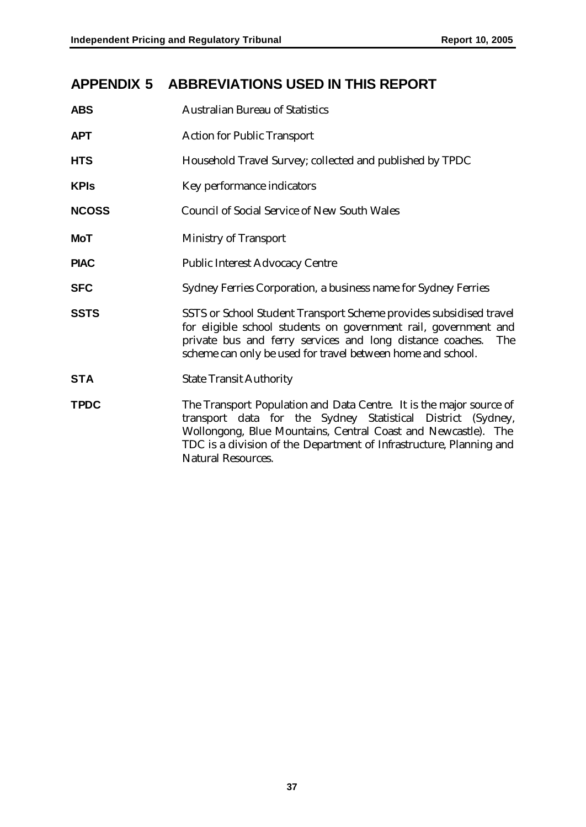# **APPENDIX 5 ABBREVIATIONS USED IN THIS REPORT**

| <b>ABS</b>   | <b>Australian Bureau of Statistics</b>                                                                                                                                                                                                                                                                  |
|--------------|---------------------------------------------------------------------------------------------------------------------------------------------------------------------------------------------------------------------------------------------------------------------------------------------------------|
| <b>APT</b>   | <b>Action for Public Transport</b>                                                                                                                                                                                                                                                                      |
| <b>HTS</b>   | Household Travel Survey; collected and published by TPDC                                                                                                                                                                                                                                                |
| <b>KPIs</b>  | Key performance indicators                                                                                                                                                                                                                                                                              |
| <b>NCOSS</b> | <b>Council of Social Service of New South Wales</b>                                                                                                                                                                                                                                                     |
| <b>MoT</b>   | <b>Ministry of Transport</b>                                                                                                                                                                                                                                                                            |
| <b>PIAC</b>  | <b>Public Interest Advocacy Centre</b>                                                                                                                                                                                                                                                                  |
| <b>SFC</b>   | Sydney Ferries Corporation, a business name for Sydney Ferries                                                                                                                                                                                                                                          |
| <b>SSTS</b>  | SSTS or School Student Transport Scheme provides subsidised travel<br>for eligible school students on government rail, government and<br>private bus and ferry services and long distance coaches.<br><b>The</b><br>scheme can only be used for travel between home and school.                         |
| <b>STA</b>   | <b>State Transit Authority</b>                                                                                                                                                                                                                                                                          |
| <b>TPDC</b>  | The Transport Population and Data Centre. It is the major source of<br>transport data for the Sydney Statistical District (Sydney,<br>Wollongong, Blue Mountains, Central Coast and Newcastle). The<br>TDC is a division of the Department of Infrastructure, Planning and<br><b>Natural Resources.</b> |